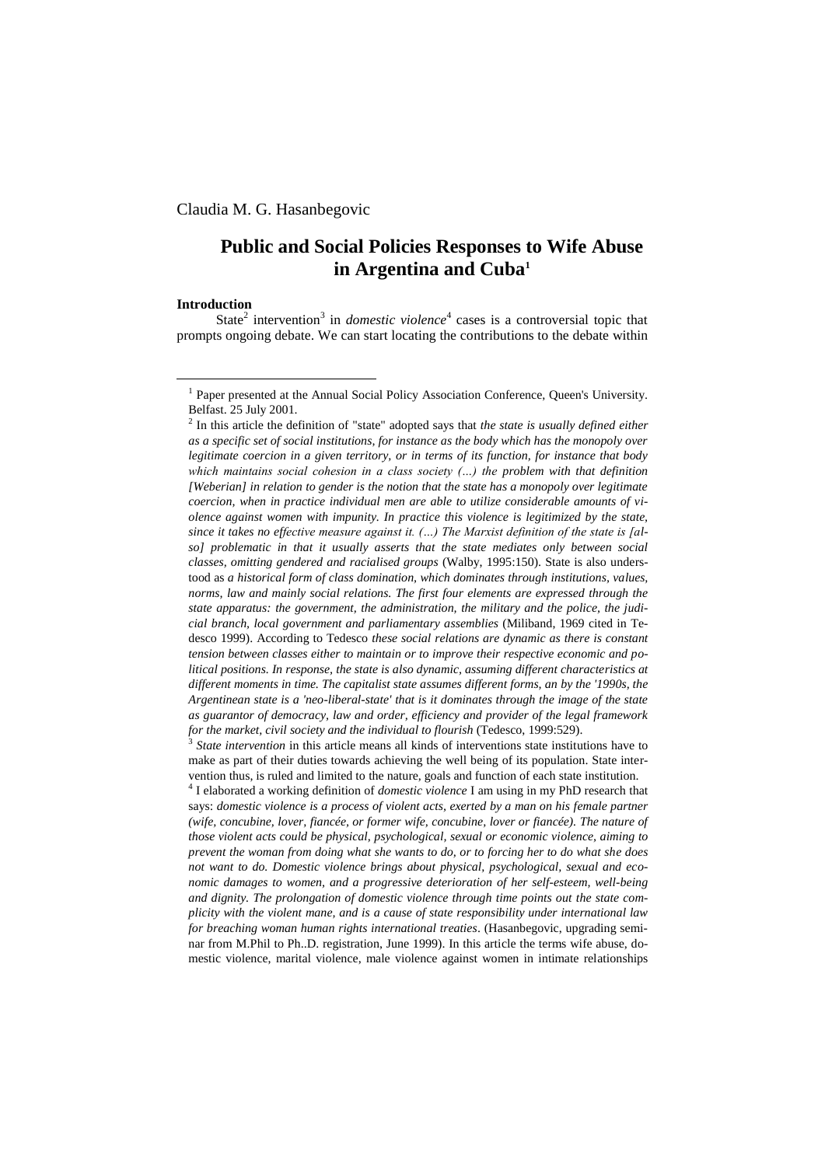Claudia M. G. Hasanbegovic

# **Public and Social Policies Responses to Wife Abuse in Argentina and Cuba<sup>1</sup>**

#### **Introduction**

1

State<sup>2</sup> intervention<sup>3</sup> in *domestic violence*<sup>4</sup> cases is a controversial topic that prompts ongoing debate. We can start locating the contributions to the debate within

<sup>3</sup> State intervention in this article means all kinds of interventions state institutions have to make as part of their duties towards achieving the well being of its population. State intervention thus, is ruled and limited to the nature, goals and function of each state institution.

4 I elaborated a working definition of *domestic violence* I am using in my PhD research that says: *domestic violence is a process of violent acts, exerted by a man on his female partner (wife, concubine, lover, fiancée, or former wife, concubine, lover or fiancée). The nature of those violent acts could be physical, psychological, sexual or economic violence, aiming to prevent the woman from doing what she wants to do, or to forcing her to do what she does not want to do. Domestic violence brings about physical, psychological, sexual and economic damages to women, and a progressive deterioration of her self-esteem, well-being and dignity. The prolongation of domestic violence through time points out the state complicity with the violent mane, and is a cause of state responsibility under international law for breaching woman human rights international treaties*. (Hasanbegovic, upgrading seminar from M.Phil to Ph..D. registration, June 1999). In this article the terms wife abuse, domestic violence, marital violence, male violence against women in intimate relationships

<sup>&</sup>lt;sup>1</sup> Paper presented at the Annual Social Policy Association Conference, Queen's University. Belfast. 25 July 2001.

<sup>2</sup> In this article the definition of "state" adopted says that *the state is usually defined either as a specific set of social institutions, for instance as the body which has the monopoly over legitimate coercion in a given territory, or in terms of its function, for instance that body which maintains social cohesion in a class society (…) the problem with that definition [Weberian] in relation to gender is the notion that the state has a monopoly over legitimate coercion, when in practice individual men are able to utilize considerable amounts of violence against women with impunity. In practice this violence is legitimized by the state, since it takes no effective measure against it. (…) The Marxist definition of the state is [also] problematic in that it usually asserts that the state mediates only between social classes, omitting gendered and racialised groups* (Walby, 1995:150). State is also understood as *a historical form of class domination, which dominates through institutions, values, norms, law and mainly social relations. The first four elements are expressed through the state apparatus: the government, the administration, the military and the police, the judicial branch, local government and parliamentary assemblies* (Miliband, 1969 cited in Tedesco 1999). According to Tedesco *these social relations are dynamic as there is constant tension between classes either to maintain or to improve their respective economic and political positions. In response, the state is also dynamic, assuming different characteristics at different moments in time. The capitalist state assumes different forms, an by the '1990s, the Argentinean state is a 'neo-liberal-state' that is it dominates through the image of the state as guarantor of democracy, law and order, efficiency and provider of the legal framework for the market, civil society and the individual to flourish* (Tedesco, 1999:529).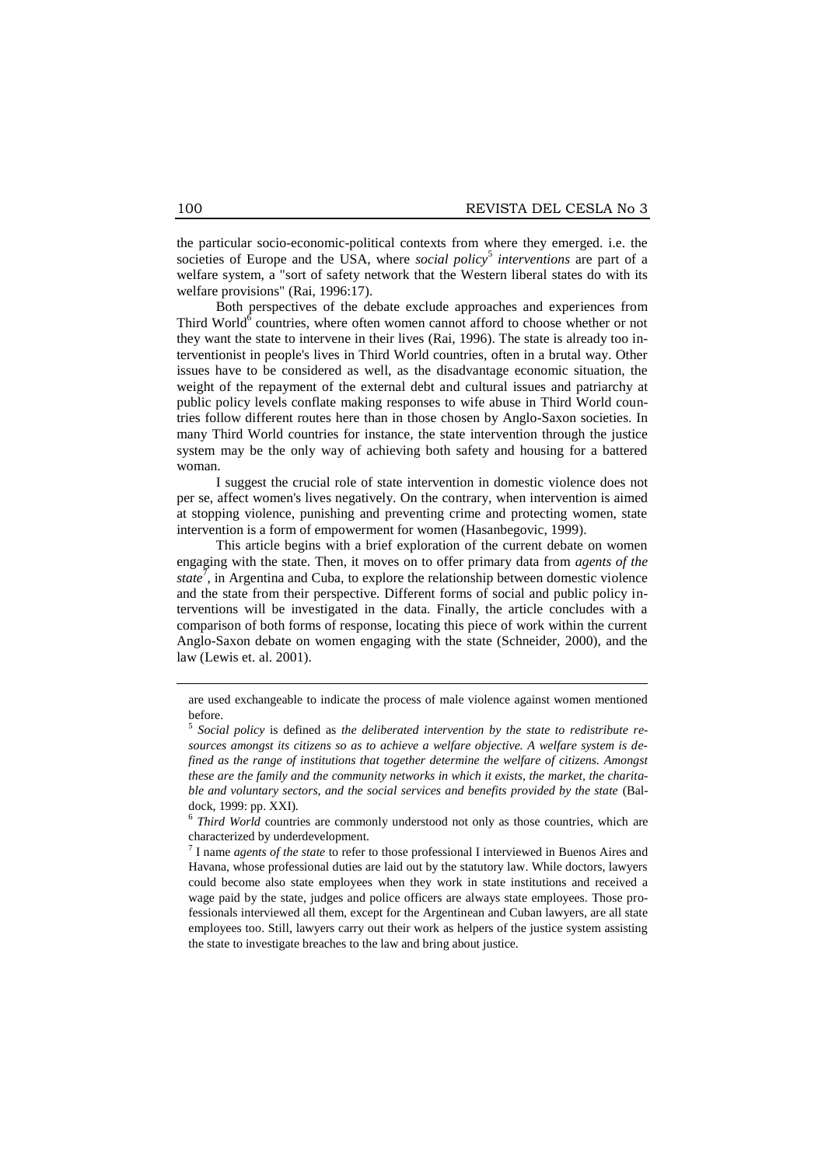the particular socio-economic-political contexts from where they emerged. i.e. the societies of Europe and the USA, where *social policy*<sup>5</sup> interventions are part of a welfare system, a "sort of safety network that the Western liberal states do with its welfare provisions" (Rai, 1996:17).

Both perspectives of the debate exclude approaches and experiences from Third World $6$  countries, where often women cannot afford to choose whether or not they want the state to intervene in their lives (Rai, 1996). The state is already too interventionist in people's lives in Third World countries, often in a brutal way. Other issues have to be considered as well, as the disadvantage economic situation, the weight of the repayment of the external debt and cultural issues and patriarchy at public policy levels conflate making responses to wife abuse in Third World countries follow different routes here than in those chosen by Anglo-Saxon societies. In many Third World countries for instance, the state intervention through the justice system may be the only way of achieving both safety and housing for a battered woman.

I suggest the crucial role of state intervention in domestic violence does not per se, affect women's lives negatively. On the contrary, when intervention is aimed at stopping violence, punishing and preventing crime and protecting women, state intervention is a form of empowerment for women (Hasanbegovic, 1999).

This article begins with a brief exploration of the current debate on women engaging with the state. Then, it moves on to offer primary data from *agents of the state*<sup>7</sup>, in Argentina and Cuba, to explore the relationship between domestic violence and the state from their perspective. Different forms of social and public policy interventions will be investigated in the data. Finally, the article concludes with a comparison of both forms of response, locating this piece of work within the current Anglo-Saxon debate on women engaging with the state (Schneider, 2000), and the law (Lewis et. al. 2001).

1

are used exchangeable to indicate the process of male violence against women mentioned before.

<sup>5</sup> *Social policy* is defined as *the deliberated intervention by the state to redistribute resources amongst its citizens so as to achieve a welfare objective. A welfare system is defined as the range of institutions that together determine the welfare of citizens. Amongst these are the family and the community networks in which it exists, the market, the charitable and voluntary sectors, and the social services and benefits provided by the state* (Baldock, 1999: pp. XXI).

<sup>&</sup>lt;sup>6</sup> Third World countries are commonly understood not only as those countries, which are characterized by underdevelopment.

<sup>7</sup> I name *agents of the state* to refer to those professional I interviewed in Buenos Aires and Havana, whose professional duties are laid out by the statutory law. While doctors, lawyers could become also state employees when they work in state institutions and received a wage paid by the state, judges and police officers are always state employees. Those professionals interviewed all them, except for the Argentinean and Cuban lawyers, are all state employees too. Still, lawyers carry out their work as helpers of the justice system assisting the state to investigate breaches to the law and bring about justice.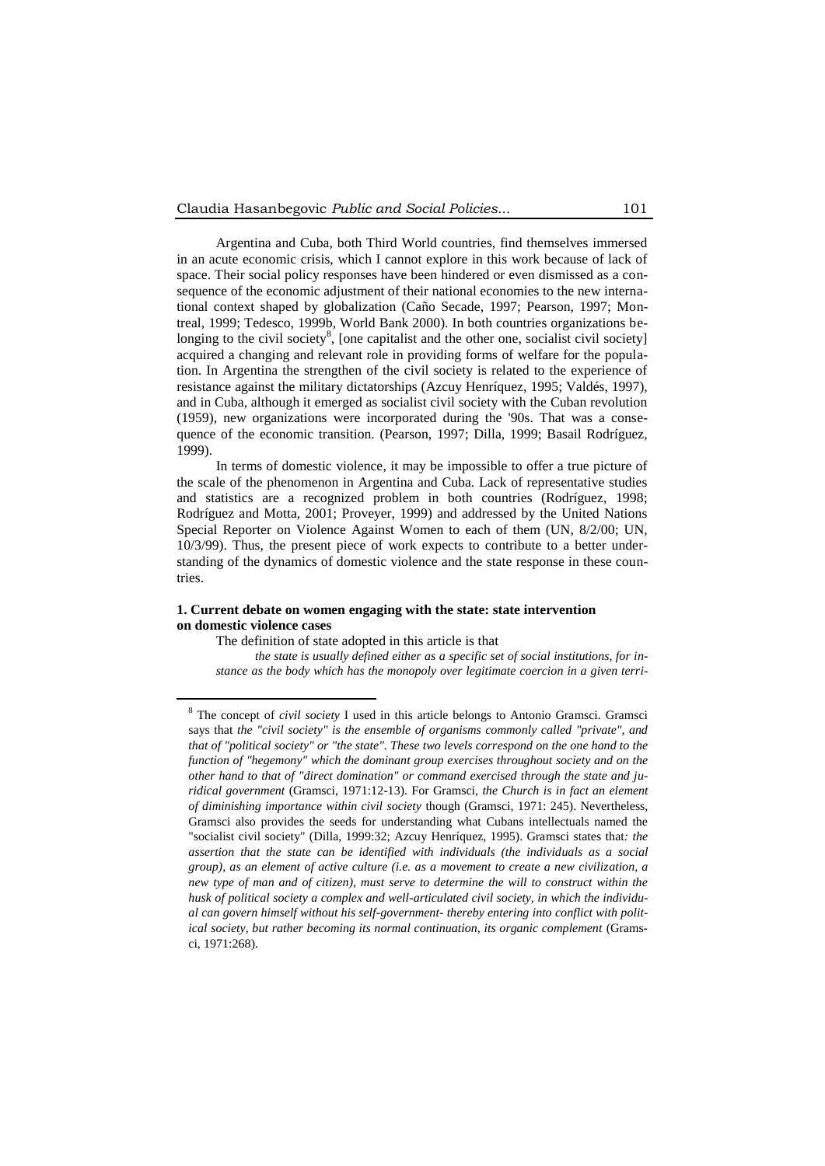Argentina and Cuba, both Third World countries, find themselves immersed in an acute economic crisis, which I cannot explore in this work because of lack of space. Their social policy responses have been hindered or even dismissed as a consequence of the economic adjustment of their national economies to the new international context shaped by globalization (Caño Secade, 1997; Pearson, 1997; Montreal, 1999; Tedesco, 1999b, World Bank 2000). In both countries organizations belonging to the civil society<sup>8</sup>, [one capitalist and the other one, socialist civil society] acquired a changing and relevant role in providing forms of welfare for the population. In Argentina the strengthen of the civil society is related to the experience of resistance against the military dictatorships (Azcuy Henríquez, 1995; Valdés, 1997), and in Cuba, although it emerged as socialist civil society with the Cuban revolution (1959), new organizations were incorporated during the '90s. That was a consequence of the economic transition. (Pearson, 1997; Dilla, 1999; Basail Rodríguez, 1999).

In terms of domestic violence, it may be impossible to offer a true picture of the scale of the phenomenon in Argentina and Cuba. Lack of representative studies and statistics are a recognized problem in both countries (Rodríguez, 1998; Rodríguez and Motta, 2001; Proveyer, 1999) and addressed by the United Nations Special Reporter on Violence Against Women to each of them (UN, 8/2/00; UN, 10/3/99). Thus, the present piece of work expects to contribute to a better understanding of the dynamics of domestic violence and the state response in these countries.

# **1. Current debate on women engaging with the state: state intervention on domestic violence cases**

The definition of state adopted in this article is that

<u>.</u>

*the state is usually defined either as a specific set of social institutions, for instance as the body which has the monopoly over legitimate coercion in a given terri-*

<sup>8</sup> The concept of *civil society* I used in this article belongs to Antonio Gramsci. Gramsci says that *the "civil society" is the ensemble of organisms commonly called "private", and that of "political society" or "the state". These two levels correspond on the one hand to the function of "hegemony" which the dominant group exercises throughout society and on the other hand to that of "direct domination" or command exercised through the state and juridical government* (Gramsci, 1971:12-13). For Gramsci*, the Church is in fact an element of diminishing importance within civil society* though (Gramsci, 1971: 245). Nevertheless, Gramsci also provides the seeds for understanding what Cubans intellectuals named the "socialist civil society" (Dilla, 1999:32; Azcuy Henríquez, 1995). Gramsci states that*: the assertion that the state can be identified with individuals (the individuals as a social group), as an element of active culture (i.e. as a movement to create a new civilization, a new type of man and of citizen), must serve to determine the will to construct within the husk of political society a complex and well-articulated civil society, in which the individual can govern himself without his self-government- thereby entering into conflict with political society, but rather becoming its normal continuation, its organic complement* (Gramsci, 1971:268).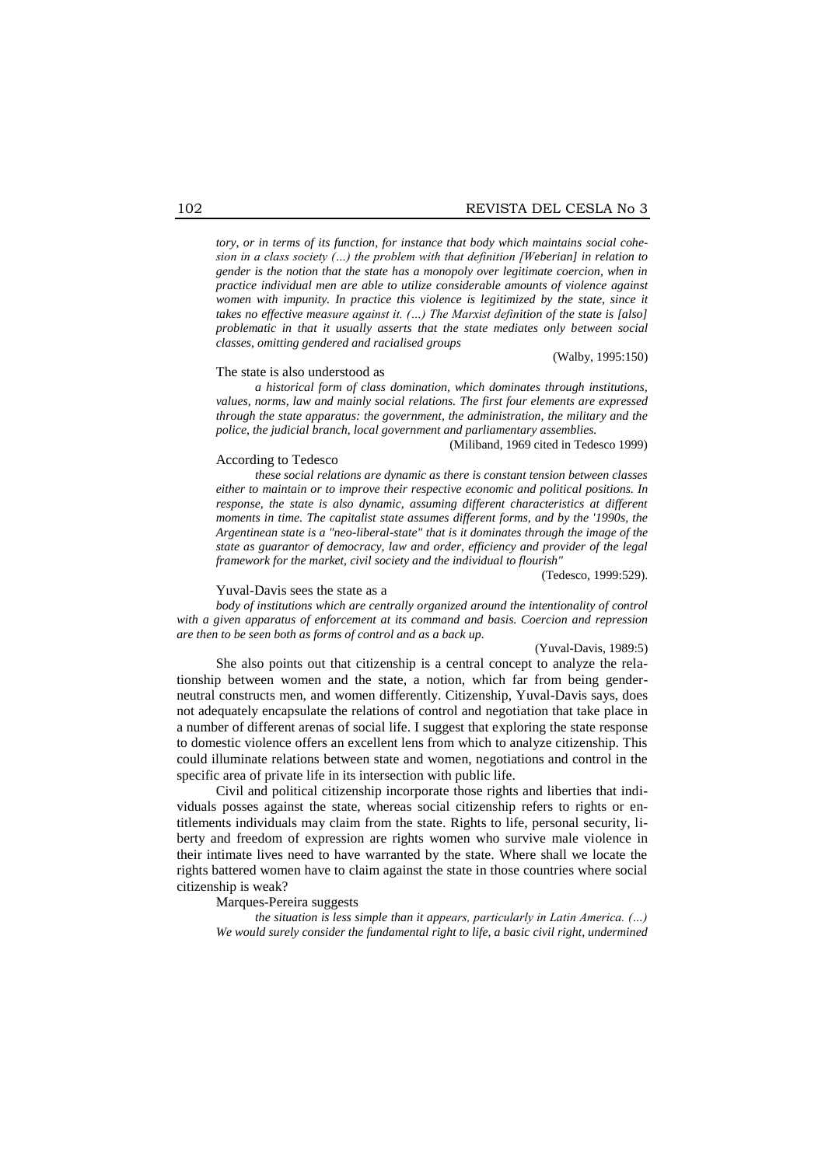*tory, or in terms of its function, for instance that body which maintains social cohesion in a class society (…) the problem with that definition [Weberian] in relation to gender is the notion that the state has a monopoly over legitimate coercion, when in practice individual men are able to utilize considerable amounts of violence against women with impunity. In practice this violence is legitimized by the state, since it takes no effective measure against it. (…) The Marxist definition of the state is [also] problematic in that it usually asserts that the state mediates only between social classes, omitting gendered and racialised groups*

(Walby, 1995:150)

#### The state is also understood as

*a historical form of class domination, which dominates through institutions, values, norms, law and mainly social relations. The first four elements are expressed through the state apparatus: the government, the administration, the military and the police, the judicial branch, local government and parliamentary assemblies.* 

#### According to Tedesco

(Miliband, 1969 cited in Tedesco 1999)

*these social relations are dynamic as there is constant tension between classes either to maintain or to improve their respective economic and political positions. In response, the state is also dynamic, assuming different characteristics at different moments in time. The capitalist state assumes different forms, and by the '1990s, the Argentinean state is a "neo-liberal-state" that is it dominates through the image of the state as guarantor of democracy, law and order, efficiency and provider of the legal framework for the market, civil society and the individual to flourish"* 

(Tedesco, 1999:529).

#### Yuval-Davis sees the state as a

*body of institutions which are centrally organized around the intentionality of control with a given apparatus of enforcement at its command and basis. Coercion and repression are then to be seen both as forms of control and as a back up.*

#### (Yuval-Davis, 1989:5)

She also points out that citizenship is a central concept to analyze the relationship between women and the state, a notion, which far from being genderneutral constructs men, and women differently. Citizenship, Yuval-Davis says, does not adequately encapsulate the relations of control and negotiation that take place in a number of different arenas of social life. I suggest that exploring the state response to domestic violence offers an excellent lens from which to analyze citizenship. This could illuminate relations between state and women, negotiations and control in the specific area of private life in its intersection with public life.

Civil and political citizenship incorporate those rights and liberties that individuals posses against the state, whereas social citizenship refers to rights or entitlements individuals may claim from the state. Rights to life, personal security, liberty and freedom of expression are rights women who survive male violence in their intimate lives need to have warranted by the state. Where shall we locate the rights battered women have to claim against the state in those countries where social citizenship is weak?

#### Marques-Pereira suggests

*the situation is less simple than it appears, particularly in Latin America. (…) We would surely consider the fundamental right to life, a basic civil right, undermined*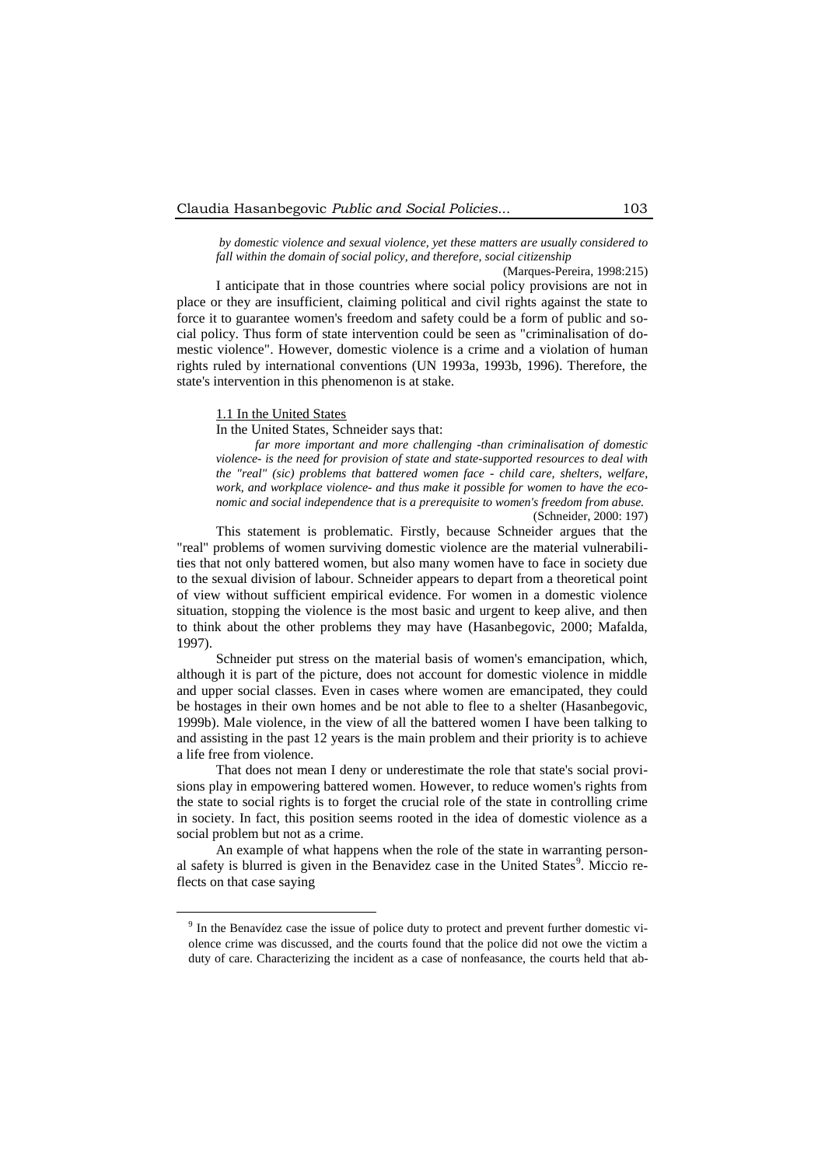*by domestic violence and sexual violence, yet these matters are usually considered to fall within the domain of social policy, and therefore, social citizenship* 

(Marques-Pereira, 1998:215) I anticipate that in those countries where social policy provisions are not in place or they are insufficient, claiming political and civil rights against the state to force it to guarantee women's freedom and safety could be a form of public and social policy. Thus form of state intervention could be seen as "criminalisation of domestic violence". However, domestic violence is a crime and a violation of human rights ruled by international conventions (UN 1993a, 1993b, 1996). Therefore, the state's intervention in this phenomenon is at stake.

# 1.1 In the United States

1

In the United States, Schneider says that:

*far more important and more challenging -than criminalisation of domestic violence- is the need for provision of state and state-supported resources to deal with the "real" (sic) problems that battered women face - child care, shelters, welfare, work, and workplace violence- and thus make it possible for women to have the economic and social independence that is a prerequisite to women's freedom from abuse.* (Schneider, 2000: 197)

This statement is problematic. Firstly, because Schneider argues that the "real" problems of women surviving domestic violence are the material vulnerabilities that not only battered women, but also many women have to face in society due to the sexual division of labour. Schneider appears to depart from a theoretical point of view without sufficient empirical evidence. For women in a domestic violence situation, stopping the violence is the most basic and urgent to keep alive, and then to think about the other problems they may have (Hasanbegovic, 2000; Mafalda, 1997).

Schneider put stress on the material basis of women's emancipation, which, although it is part of the picture, does not account for domestic violence in middle and upper social classes. Even in cases where women are emancipated, they could be hostages in their own homes and be not able to flee to a shelter (Hasanbegovic, 1999b). Male violence, in the view of all the battered women I have been talking to and assisting in the past 12 years is the main problem and their priority is to achieve a life free from violence.

That does not mean I deny or underestimate the role that state's social provisions play in empowering battered women. However, to reduce women's rights from the state to social rights is to forget the crucial role of the state in controlling crime in society. In fact, this position seems rooted in the idea of domestic violence as a social problem but not as a crime.

An example of what happens when the role of the state in warranting personal safety is blurred is given in the Benavidez case in the United States<sup>9</sup>. Miccio reflects on that case saying

<sup>&</sup>lt;sup>9</sup> In the Benavídez case the issue of police duty to protect and prevent further domestic violence crime was discussed, and the courts found that the police did not owe the victim a duty of care. Characterizing the incident as a case of nonfeasance, the courts held that ab-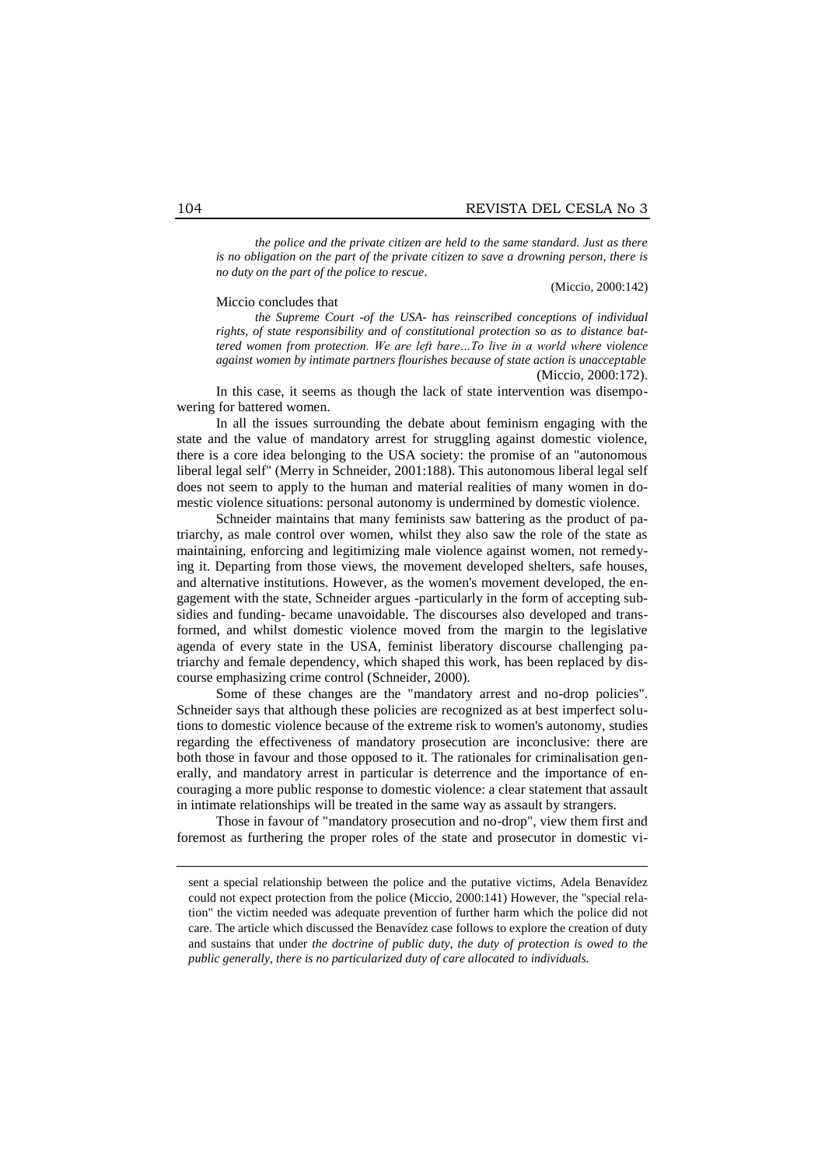*the police and the private citizen are held to the same standard. Just as there is no obligation on the part of the private citizen to save a drowning person, there is no duty on the part of the police to rescue*.

(Miccio, 2000:142)

#### Miccio concludes that

*the Supreme Court -of the USA- has reinscribed conceptions of individual rights, of state responsibility and of constitutional protection so as to distance battered women from protection. We are left bare…To live in a world where violence against women by intimate partners flourishes because of state action is unacceptable* (Miccio, 2000:172).

In this case, it seems as though the lack of state intervention was disempowering for battered women.

In all the issues surrounding the debate about feminism engaging with the state and the value of mandatory arrest for struggling against domestic violence, there is a core idea belonging to the USA society: the promise of an "autonomous liberal legal self" (Merry in Schneider, 2001:188). This autonomous liberal legal self does not seem to apply to the human and material realities of many women in domestic violence situations: personal autonomy is undermined by domestic violence.

Schneider maintains that many feminists saw battering as the product of patriarchy, as male control over women, whilst they also saw the role of the state as maintaining, enforcing and legitimizing male violence against women, not remedying it. Departing from those views, the movement developed shelters, safe houses, and alternative institutions. However, as the women's movement developed, the engagement with the state, Schneider argues -particularly in the form of accepting subsidies and funding- became unavoidable. The discourses also developed and transformed, and whilst domestic violence moved from the margin to the legislative agenda of every state in the USA, feminist liberatory discourse challenging patriarchy and female dependency, which shaped this work, has been replaced by discourse emphasizing crime control (Schneider, 2000).

Some of these changes are the "mandatory arrest and no-drop policies". Schneider says that although these policies are recognized as at best imperfect solutions to domestic violence because of the extreme risk to women's autonomy, studies regarding the effectiveness of mandatory prosecution are inconclusive: there are both those in favour and those opposed to it. The rationales for criminalisation generally, and mandatory arrest in particular is deterrence and the importance of encouraging a more public response to domestic violence: a clear statement that assault in intimate relationships will be treated in the same way as assault by strangers.

Those in favour of "mandatory prosecution and no-drop", view them first and foremost as furthering the proper roles of the state and prosecutor in domestic vi-

1

sent a special relationship between the police and the putative victims, Adela Benavídez could not expect protection from the police (Miccio, 2000:141) However, the "special relation" the victim needed was adequate prevention of further harm which the police did not care. The article which discussed the Benavídez case follows to explore the creation of duty and sustains that under *the doctrine of public duty, the duty of protection is owed to the public generally, there is no particularized duty of care allocated to individuals.*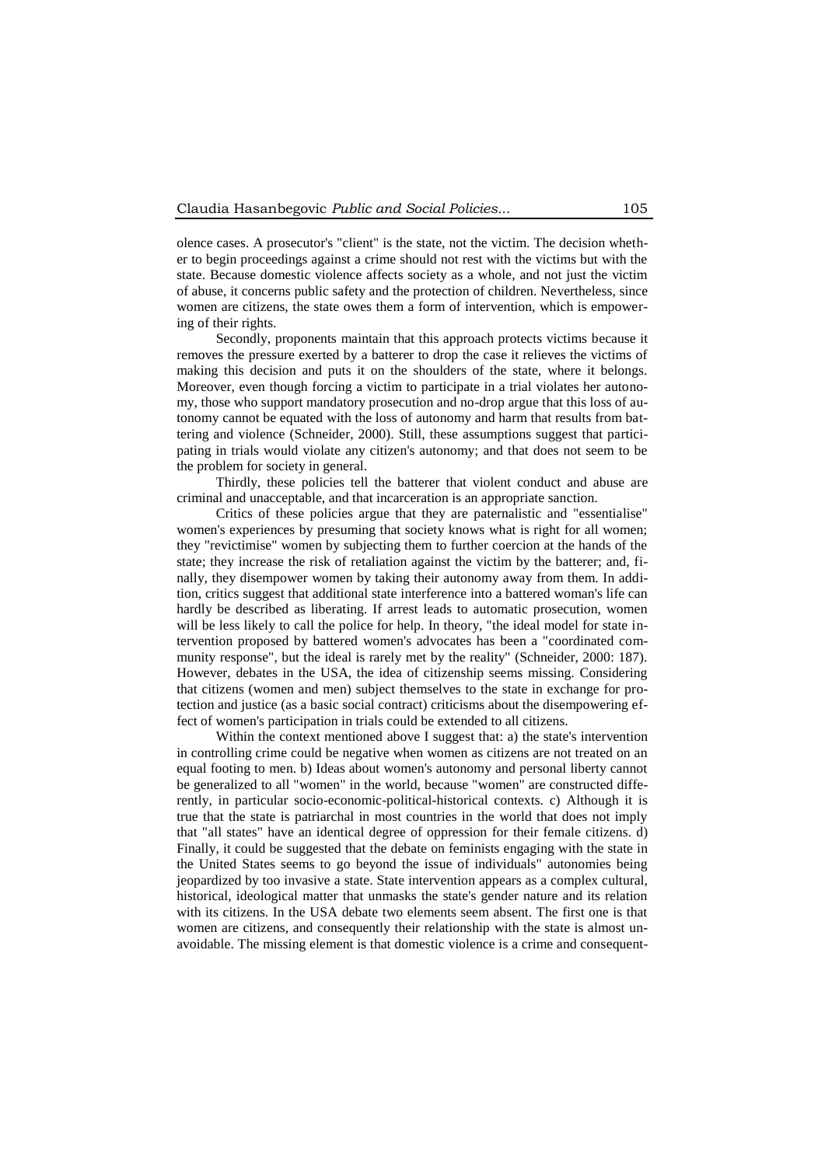olence cases. A prosecutor's "client" is the state, not the victim. The decision whether to begin proceedings against a crime should not rest with the victims but with the state. Because domestic violence affects society as a whole, and not just the victim of abuse, it concerns public safety and the protection of children. Nevertheless, since women are citizens, the state owes them a form of intervention, which is empowering of their rights.

Secondly, proponents maintain that this approach protects victims because it removes the pressure exerted by a batterer to drop the case it relieves the victims of making this decision and puts it on the shoulders of the state, where it belongs. Moreover, even though forcing a victim to participate in a trial violates her autonomy, those who support mandatory prosecution and no-drop argue that this loss of autonomy cannot be equated with the loss of autonomy and harm that results from battering and violence (Schneider, 2000). Still, these assumptions suggest that participating in trials would violate any citizen's autonomy; and that does not seem to be the problem for society in general.

Thirdly, these policies tell the batterer that violent conduct and abuse are criminal and unacceptable, and that incarceration is an appropriate sanction.

Critics of these policies argue that they are paternalistic and "essentialise" women's experiences by presuming that society knows what is right for all women; they "revictimise" women by subjecting them to further coercion at the hands of the state; they increase the risk of retaliation against the victim by the batterer; and, finally, they disempower women by taking their autonomy away from them. In addition, critics suggest that additional state interference into a battered woman's life can hardly be described as liberating. If arrest leads to automatic prosecution, women will be less likely to call the police for help. In theory, "the ideal model for state intervention proposed by battered women's advocates has been a "coordinated community response", but the ideal is rarely met by the reality" (Schneider, 2000: 187). However, debates in the USA, the idea of citizenship seems missing. Considering that citizens (women and men) subject themselves to the state in exchange for protection and justice (as a basic social contract) criticisms about the disempowering effect of women's participation in trials could be extended to all citizens.

Within the context mentioned above I suggest that: a) the state's intervention in controlling crime could be negative when women as citizens are not treated on an equal footing to men. b) Ideas about women's autonomy and personal liberty cannot be generalized to all "women" in the world, because "women" are constructed differently, in particular socio-economic-political-historical contexts. c) Although it is true that the state is patriarchal in most countries in the world that does not imply that "all states" have an identical degree of oppression for their female citizens. d) Finally, it could be suggested that the debate on feminists engaging with the state in the United States seems to go beyond the issue of individuals" autonomies being jeopardized by too invasive a state. State intervention appears as a complex cultural, historical, ideological matter that unmasks the state's gender nature and its relation with its citizens. In the USA debate two elements seem absent. The first one is that women are citizens, and consequently their relationship with the state is almost unavoidable. The missing element is that domestic violence is a crime and consequent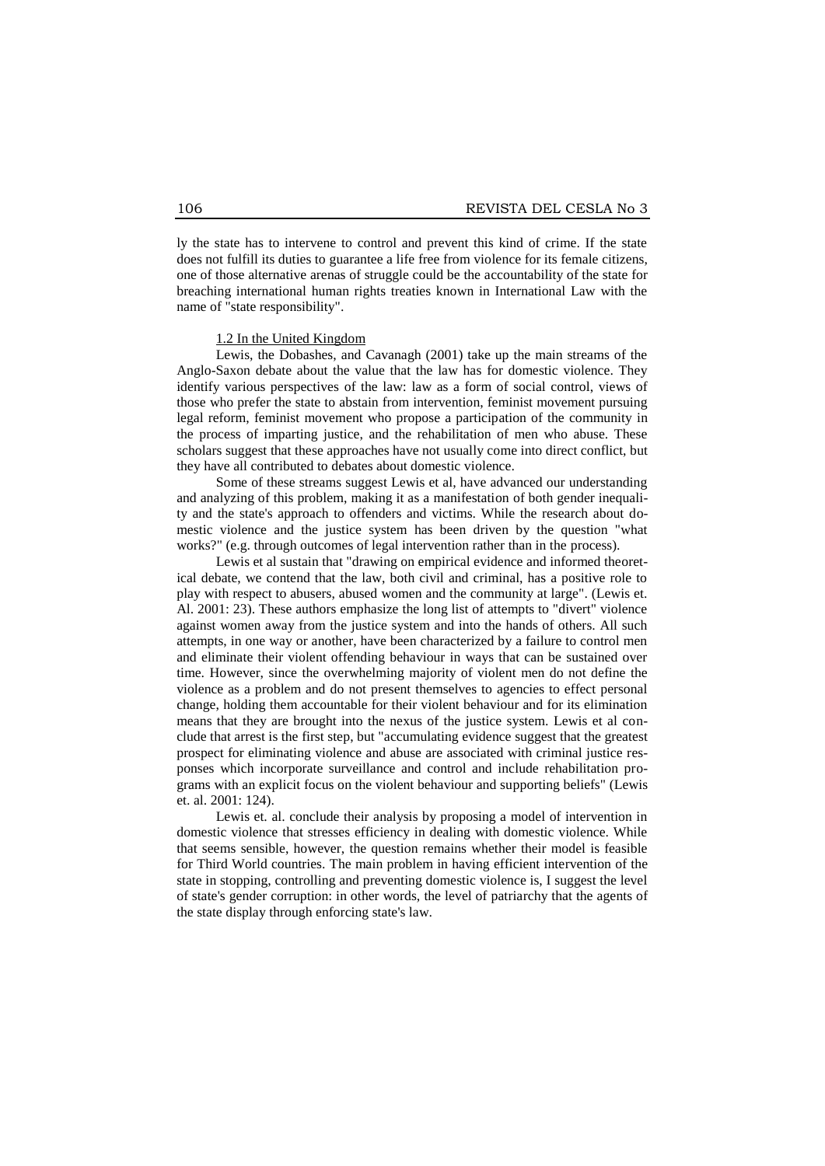ly the state has to intervene to control and prevent this kind of crime. If the state does not fulfill its duties to guarantee a life free from violence for its female citizens, one of those alternative arenas of struggle could be the accountability of the state for breaching international human rights treaties known in International Law with the name of "state responsibility".

## 1.2 In the United Kingdom

Lewis, the Dobashes, and Cavanagh (2001) take up the main streams of the Anglo-Saxon debate about the value that the law has for domestic violence. They identify various perspectives of the law: law as a form of social control, views of those who prefer the state to abstain from intervention, feminist movement pursuing legal reform, feminist movement who propose a participation of the community in the process of imparting justice, and the rehabilitation of men who abuse. These scholars suggest that these approaches have not usually come into direct conflict, but they have all contributed to debates about domestic violence.

Some of these streams suggest Lewis et al, have advanced our understanding and analyzing of this problem, making it as a manifestation of both gender inequality and the state's approach to offenders and victims. While the research about domestic violence and the justice system has been driven by the question "what works?" (e.g. through outcomes of legal intervention rather than in the process).

Lewis et al sustain that "drawing on empirical evidence and informed theoretical debate, we contend that the law, both civil and criminal, has a positive role to play with respect to abusers, abused women and the community at large". (Lewis et. Al. 2001: 23). These authors emphasize the long list of attempts to "divert" violence against women away from the justice system and into the hands of others. All such attempts, in one way or another, have been characterized by a failure to control men and eliminate their violent offending behaviour in ways that can be sustained over time. However, since the overwhelming majority of violent men do not define the violence as a problem and do not present themselves to agencies to effect personal change, holding them accountable for their violent behaviour and for its elimination means that they are brought into the nexus of the justice system. Lewis et al conclude that arrest is the first step, but "accumulating evidence suggest that the greatest prospect for eliminating violence and abuse are associated with criminal justice responses which incorporate surveillance and control and include rehabilitation programs with an explicit focus on the violent behaviour and supporting beliefs" (Lewis et. al. 2001: 124).

Lewis et. al. conclude their analysis by proposing a model of intervention in domestic violence that stresses efficiency in dealing with domestic violence. While that seems sensible, however, the question remains whether their model is feasible for Third World countries. The main problem in having efficient intervention of the state in stopping, controlling and preventing domestic violence is, I suggest the level of state's gender corruption: in other words, the level of patriarchy that the agents of the state display through enforcing state's law.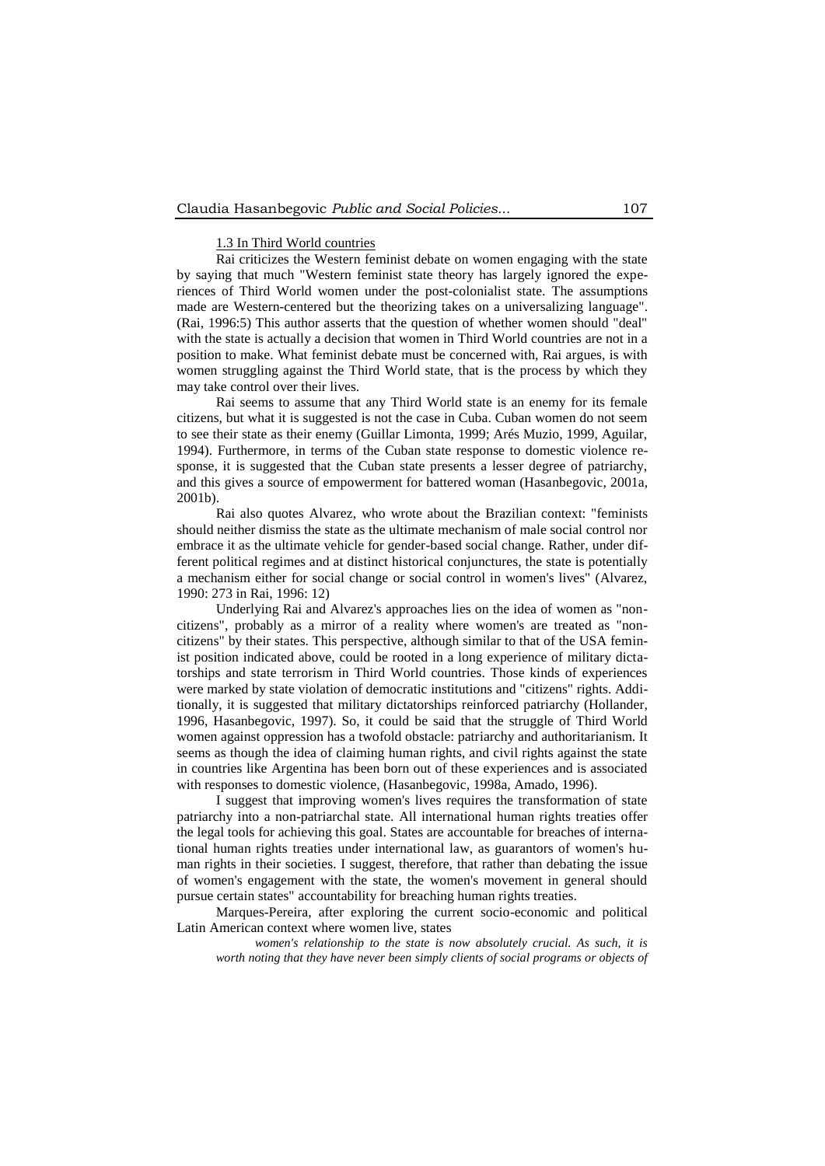#### 1.3 In Third World countries

Rai criticizes the Western feminist debate on women engaging with the state by saying that much "Western feminist state theory has largely ignored the experiences of Third World women under the post-colonialist state. The assumptions made are Western-centered but the theorizing takes on a universalizing language". (Rai, 1996:5) This author asserts that the question of whether women should "deal" with the state is actually a decision that women in Third World countries are not in a position to make. What feminist debate must be concerned with, Rai argues, is with women struggling against the Third World state, that is the process by which they may take control over their lives.

Rai seems to assume that any Third World state is an enemy for its female citizens, but what it is suggested is not the case in Cuba. Cuban women do not seem to see their state as their enemy (Guillar Limonta, 1999; Arés Muzio, 1999, Aguilar, 1994). Furthermore, in terms of the Cuban state response to domestic violence response, it is suggested that the Cuban state presents a lesser degree of patriarchy, and this gives a source of empowerment for battered woman (Hasanbegovic, 2001a, 2001b).

Rai also quotes Alvarez, who wrote about the Brazilian context: "feminists should neither dismiss the state as the ultimate mechanism of male social control nor embrace it as the ultimate vehicle for gender-based social change. Rather, under different political regimes and at distinct historical conjunctures, the state is potentially a mechanism either for social change or social control in women's lives" (Alvarez, 1990: 273 in Rai, 1996: 12)

Underlying Rai and Alvarez's approaches lies on the idea of women as "noncitizens", probably as a mirror of a reality where women's are treated as "noncitizens" by their states. This perspective, although similar to that of the USA feminist position indicated above, could be rooted in a long experience of military dictatorships and state terrorism in Third World countries. Those kinds of experiences were marked by state violation of democratic institutions and "citizens" rights. Additionally, it is suggested that military dictatorships reinforced patriarchy (Hollander, 1996, Hasanbegovic, 1997). So, it could be said that the struggle of Third World women against oppression has a twofold obstacle: patriarchy and authoritarianism. It seems as though the idea of claiming human rights, and civil rights against the state in countries like Argentina has been born out of these experiences and is associated with responses to domestic violence, (Hasanbegovic, 1998a, Amado, 1996).

I suggest that improving women's lives requires the transformation of state patriarchy into a non-patriarchal state. All international human rights treaties offer the legal tools for achieving this goal. States are accountable for breaches of international human rights treaties under international law, as guarantors of women's human rights in their societies. I suggest, therefore, that rather than debating the issue of women's engagement with the state, the women's movement in general should pursue certain states" accountability for breaching human rights treaties.

Marques-Pereira, after exploring the current socio-economic and political Latin American context where women live, states

*women's relationship to the state is now absolutely crucial. As such, it is worth noting that they have never been simply clients of social programs or objects of*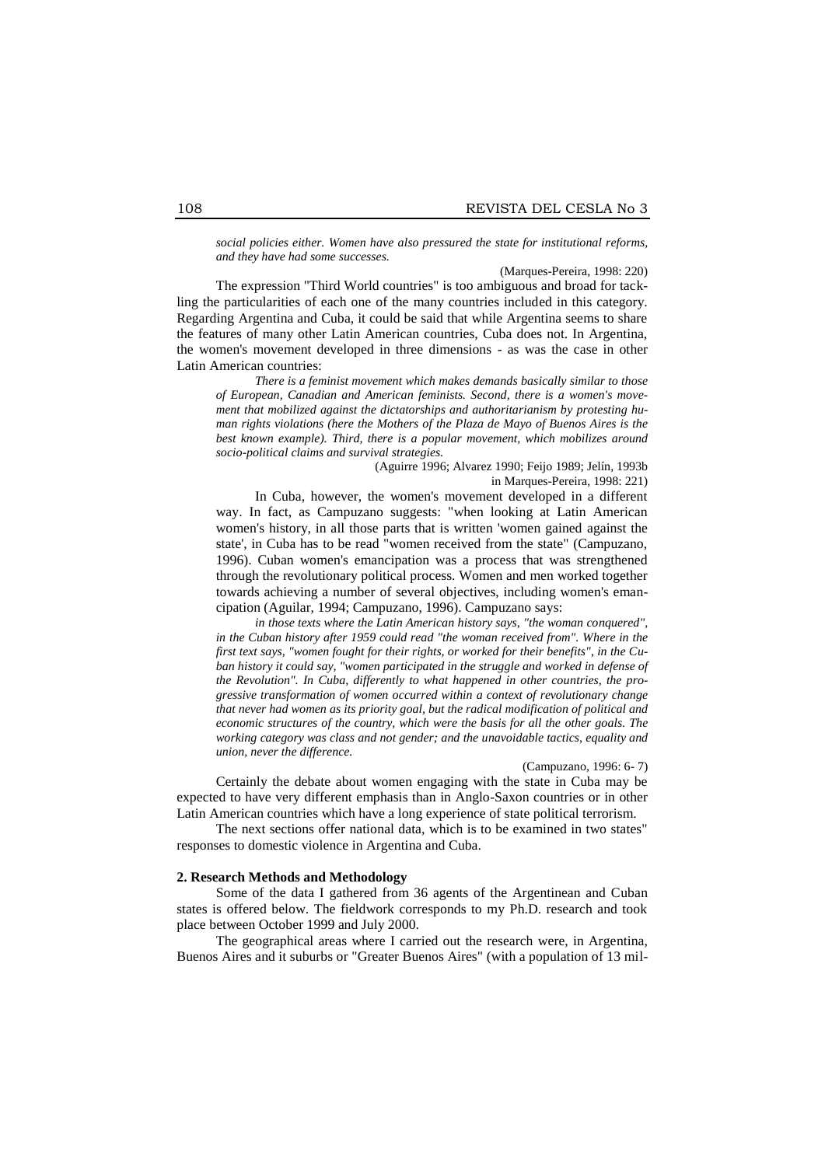*social policies either. Women have also pressured the state for institutional reforms, and they have had some successes.*

(Marques-Pereira, 1998: 220)

The expression "Third World countries" is too ambiguous and broad for tackling the particularities of each one of the many countries included in this category. Regarding Argentina and Cuba, it could be said that while Argentina seems to share the features of many other Latin American countries, Cuba does not. In Argentina, the women's movement developed in three dimensions - as was the case in other Latin American countries:

*There is a feminist movement which makes demands basically similar to those of European, Canadian and American feminists. Second, there is a women's movement that mobilized against the dictatorships and authoritarianism by protesting human rights violations (here the Mothers of the Plaza de Mayo of Buenos Aires is the best known example). Third, there is a popular movement, which mobilizes around socio-political claims and survival strategies.*

(Aguirre 1996; Alvarez 1990; Feijo 1989; Jelín, 1993b

in Marques-Pereira, 1998: 221)

In Cuba, however, the women's movement developed in a different way. In fact, as Campuzano suggests: "when looking at Latin American women's history, in all those parts that is written 'women gained against the state', in Cuba has to be read "women received from the state" (Campuzano, 1996). Cuban women's emancipation was a process that was strengthened through the revolutionary political process. Women and men worked together towards achieving a number of several objectives, including women's emancipation (Aguilar, 1994; Campuzano, 1996). Campuzano says:

*in those texts where the Latin American history says, "the woman conquered", in the Cuban history after 1959 could read "the woman received from". Where in the first text says, "women fought for their rights, or worked for their benefits", in the Cuban history it could say, "women participated in the struggle and worked in defense of the Revolution". In Cuba, differently to what happened in other countries, the progressive transformation of women occurred within a context of revolutionary change that never had women as its priority goal, but the radical modification of political and economic structures of the country, which were the basis for all the other goals. The working category was class and not gender; and the unavoidable tactics, equality and union, never the difference.*

#### (Campuzano, 1996: 6- 7)

Certainly the debate about women engaging with the state in Cuba may be expected to have very different emphasis than in Anglo-Saxon countries or in other Latin American countries which have a long experience of state political terrorism.

The next sections offer national data, which is to be examined in two states" responses to domestic violence in Argentina and Cuba.

# **2. Research Methods and Methodology**

Some of the data I gathered from 36 agents of the Argentinean and Cuban states is offered below. The fieldwork corresponds to my Ph.D. research and took place between October 1999 and July 2000.

The geographical areas where I carried out the research were, in Argentina, Buenos Aires and it suburbs or "Greater Buenos Aires" (with a population of 13 mil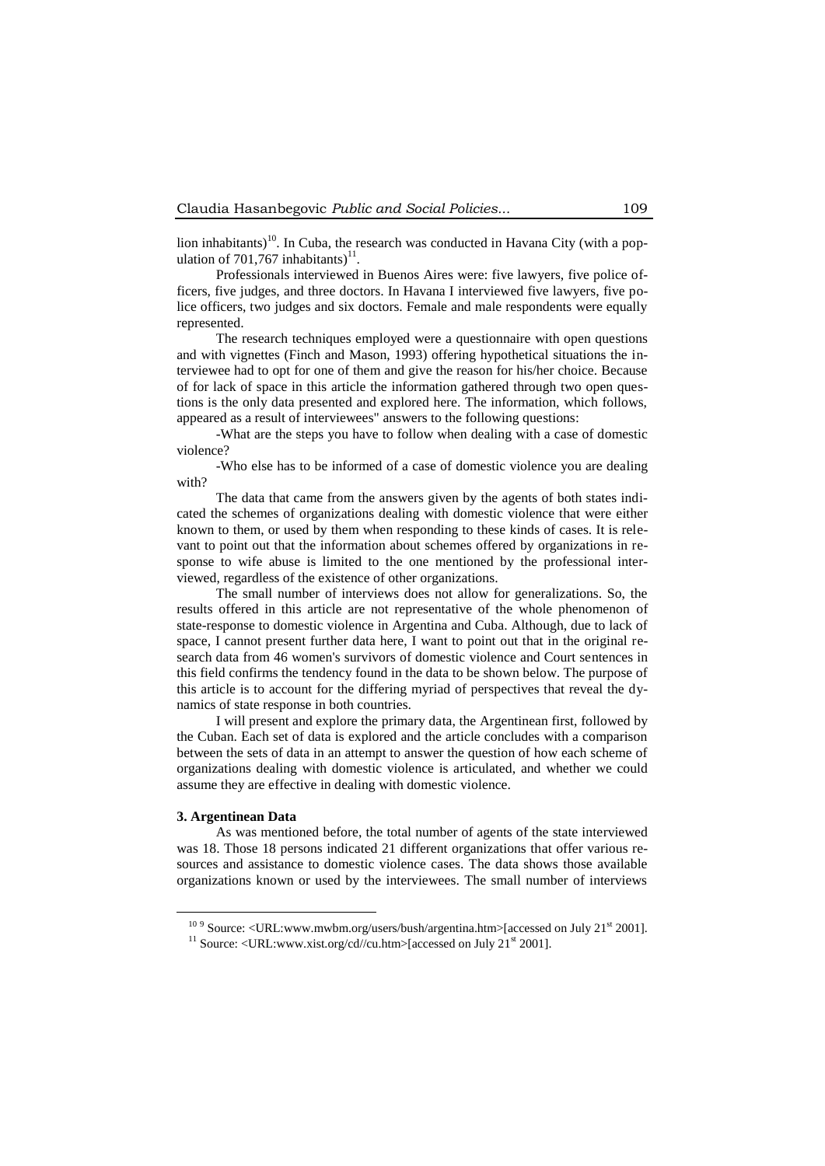lion inhabitants)<sup>10</sup>. In Cuba, the research was conducted in Havana City (with a population of 701,767 inhabitants)<sup>11</sup>.

Professionals interviewed in Buenos Aires were: five lawyers, five police officers, five judges, and three doctors. In Havana I interviewed five lawyers, five police officers, two judges and six doctors. Female and male respondents were equally represented.

The research techniques employed were a questionnaire with open questions and with vignettes (Finch and Mason, 1993) offering hypothetical situations the interviewee had to opt for one of them and give the reason for his/her choice. Because of for lack of space in this article the information gathered through two open questions is the only data presented and explored here. The information, which follows, appeared as a result of interviewees" answers to the following questions:

-What are the steps you have to follow when dealing with a case of domestic violence?

-Who else has to be informed of a case of domestic violence you are dealing with?

The data that came from the answers given by the agents of both states indicated the schemes of organizations dealing with domestic violence that were either known to them, or used by them when responding to these kinds of cases. It is relevant to point out that the information about schemes offered by organizations in response to wife abuse is limited to the one mentioned by the professional interviewed, regardless of the existence of other organizations.

The small number of interviews does not allow for generalizations. So, the results offered in this article are not representative of the whole phenomenon of state-response to domestic violence in Argentina and Cuba. Although, due to lack of space, I cannot present further data here, I want to point out that in the original research data from 46 women's survivors of domestic violence and Court sentences in this field confirms the tendency found in the data to be shown below. The purpose of this article is to account for the differing myriad of perspectives that reveal the dynamics of state response in both countries.

I will present and explore the primary data, the Argentinean first, followed by the Cuban. Each set of data is explored and the article concludes with a comparison between the sets of data in an attempt to answer the question of how each scheme of organizations dealing with domestic violence is articulated, and whether we could assume they are effective in dealing with domestic violence.

## **3. Argentinean Data**

1

As was mentioned before, the total number of agents of the state interviewed was 18. Those 18 persons indicated 21 different organizations that offer various resources and assistance to domestic violence cases. The data shows those available organizations known or used by the interviewees. The small number of interviews

 $10^{9}$  Source: <URL:www.mwbm.org/users/bush/argentina.htm>[accessed on July 21<sup>st</sup> 2001].

<sup>&</sup>lt;sup>11</sup> Source: <URL:www.xist.org/cd//cu.htm>[accessed on July 21<sup>st</sup> 2001].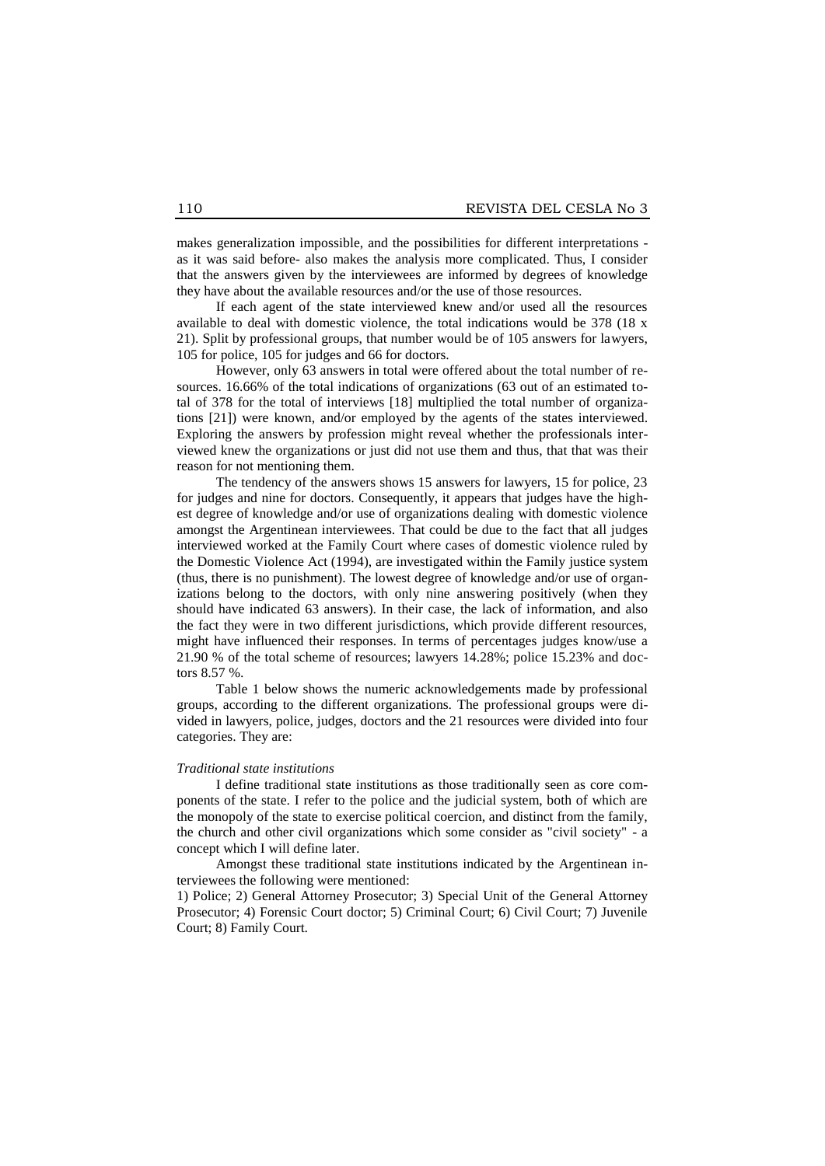makes generalization impossible, and the possibilities for different interpretations as it was said before- also makes the analysis more complicated. Thus, I consider that the answers given by the interviewees are informed by degrees of knowledge they have about the available resources and/or the use of those resources.

If each agent of the state interviewed knew and/or used all the resources available to deal with domestic violence, the total indications would be 378 (18 x 21). Split by professional groups, that number would be of 105 answers for lawyers, 105 for police, 105 for judges and 66 for doctors.

However, only 63 answers in total were offered about the total number of resources. 16.66% of the total indications of organizations (63 out of an estimated total of 378 for the total of interviews [18] multiplied the total number of organizations [21]) were known, and/or employed by the agents of the states interviewed. Exploring the answers by profession might reveal whether the professionals interviewed knew the organizations or just did not use them and thus, that that was their reason for not mentioning them.

The tendency of the answers shows 15 answers for lawyers, 15 for police, 23 for judges and nine for doctors. Consequently, it appears that judges have the highest degree of knowledge and/or use of organizations dealing with domestic violence amongst the Argentinean interviewees. That could be due to the fact that all judges interviewed worked at the Family Court where cases of domestic violence ruled by the Domestic Violence Act (1994), are investigated within the Family justice system (thus, there is no punishment). The lowest degree of knowledge and/or use of organizations belong to the doctors, with only nine answering positively (when they should have indicated 63 answers). In their case, the lack of information, and also the fact they were in two different jurisdictions, which provide different resources, might have influenced their responses. In terms of percentages judges know/use a 21.90 % of the total scheme of resources; lawyers 14.28%; police 15.23% and doctors 8.57 %.

Table 1 below shows the numeric acknowledgements made by professional groups, according to the different organizations. The professional groups were divided in lawyers, police, judges, doctors and the 21 resources were divided into four categories. They are:

#### *Traditional state institutions*

I define traditional state institutions as those traditionally seen as core components of the state. I refer to the police and the judicial system, both of which are the monopoly of the state to exercise political coercion, and distinct from the family, the church and other civil organizations which some consider as "civil society" - a concept which I will define later.

Amongst these traditional state institutions indicated by the Argentinean interviewees the following were mentioned:

1) Police; 2) General Attorney Prosecutor; 3) Special Unit of the General Attorney Prosecutor; 4) Forensic Court doctor; 5) Criminal Court; 6) Civil Court; 7) Juvenile Court; 8) Family Court.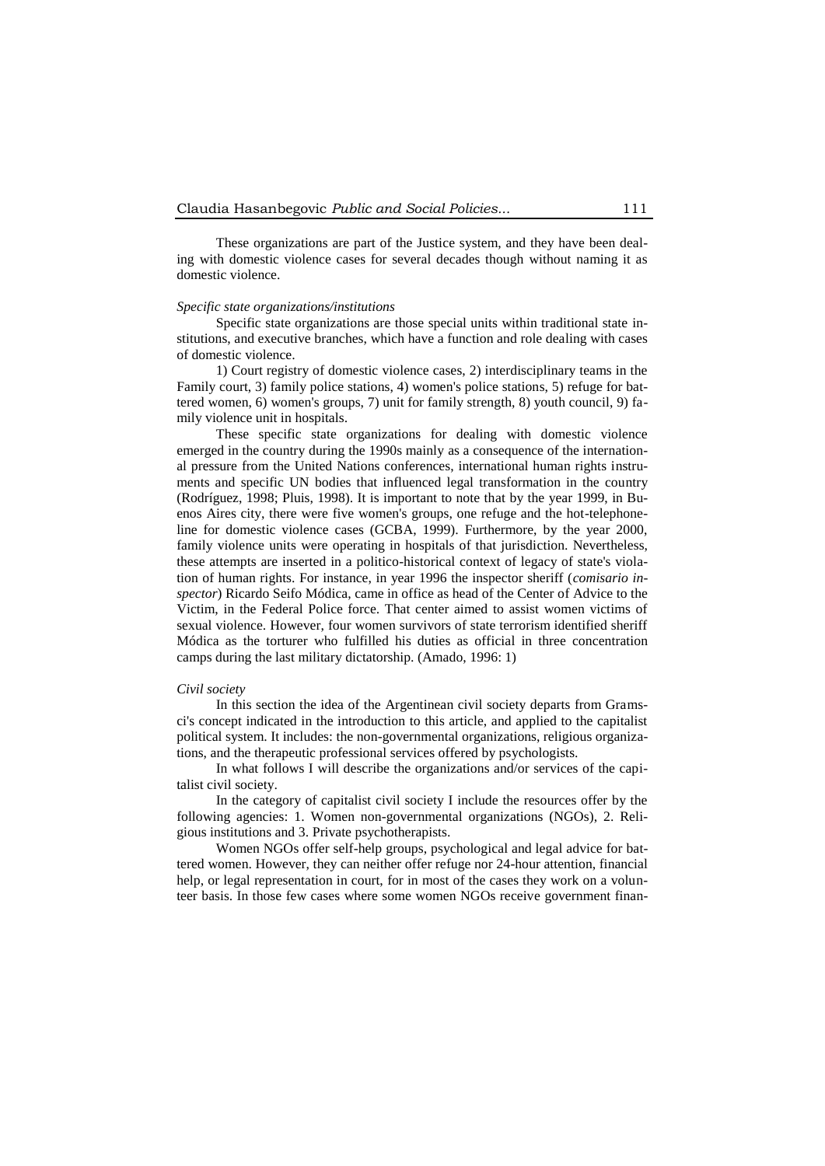These organizations are part of the Justice system, and they have been dealing with domestic violence cases for several decades though without naming it as domestic violence.

#### *Specific state organizations/institutions*

Specific state organizations are those special units within traditional state institutions, and executive branches, which have a function and role dealing with cases of domestic violence.

1) Court registry of domestic violence cases, 2) interdisciplinary teams in the Family court, 3) family police stations, 4) women's police stations, 5) refuge for battered women, 6) women's groups, 7) unit for family strength, 8) youth council, 9) family violence unit in hospitals.

These specific state organizations for dealing with domestic violence emerged in the country during the 1990s mainly as a consequence of the international pressure from the United Nations conferences, international human rights instruments and specific UN bodies that influenced legal transformation in the country (Rodríguez, 1998; Pluis, 1998). It is important to note that by the year 1999, in Buenos Aires city, there were five women's groups, one refuge and the hot-telephoneline for domestic violence cases (GCBA, 1999). Furthermore, by the year 2000, family violence units were operating in hospitals of that jurisdiction. Nevertheless, these attempts are inserted in a politico-historical context of legacy of state's violation of human rights. For instance, in year 1996 the inspector sheriff (*comisario inspector*) Ricardo Seifo Módica, came in office as head of the Center of Advice to the Victim, in the Federal Police force. That center aimed to assist women victims of sexual violence. However, four women survivors of state terrorism identified sheriff Módica as the torturer who fulfilled his duties as official in three concentration camps during the last military dictatorship. (Amado, 1996: 1)

# *Civil society*

In this section the idea of the Argentinean civil society departs from Gramsci's concept indicated in the introduction to this article, and applied to the capitalist political system. It includes: the non-governmental organizations, religious organizations, and the therapeutic professional services offered by psychologists.

In what follows I will describe the organizations and/or services of the capitalist civil society.

In the category of capitalist civil society I include the resources offer by the following agencies: 1. Women non-governmental organizations (NGOs), 2. Religious institutions and 3. Private psychotherapists.

Women NGOs offer self-help groups, psychological and legal advice for battered women. However, they can neither offer refuge nor 24-hour attention, financial help, or legal representation in court, for in most of the cases they work on a volunteer basis. In those few cases where some women NGOs receive government finan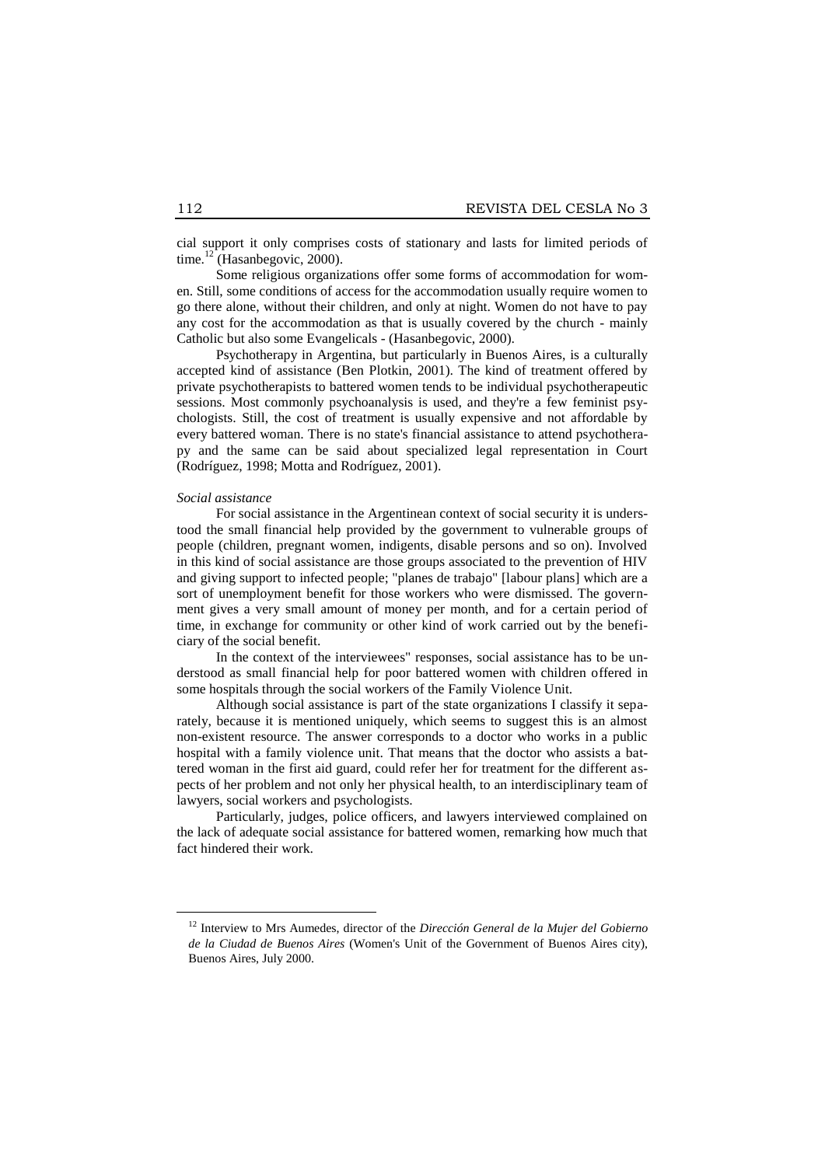cial support it only comprises costs of stationary and lasts for limited periods of time.<sup>12</sup> (Hasanbegovic, 2000).

Some religious organizations offer some forms of accommodation for women. Still, some conditions of access for the accommodation usually require women to go there alone, without their children, and only at night. Women do not have to pay any cost for the accommodation as that is usually covered by the church - mainly Catholic but also some Evangelicals - (Hasanbegovic, 2000).

Psychotherapy in Argentina, but particularly in Buenos Aires, is a culturally accepted kind of assistance (Ben Plotkin, 2001). The kind of treatment offered by private psychotherapists to battered women tends to be individual psychotherapeutic sessions. Most commonly psychoanalysis is used, and they're a few feminist psychologists. Still, the cost of treatment is usually expensive and not affordable by every battered woman. There is no state's financial assistance to attend psychotherapy and the same can be said about specialized legal representation in Court (Rodríguez, 1998; Motta and Rodríguez, 2001).

#### *Social assistance*

1

For social assistance in the Argentinean context of social security it is understood the small financial help provided by the government to vulnerable groups of people (children, pregnant women, indigents, disable persons and so on). Involved in this kind of social assistance are those groups associated to the prevention of HIV and giving support to infected people; "planes de trabajo" [labour plans] which are a sort of unemployment benefit for those workers who were dismissed. The government gives a very small amount of money per month, and for a certain period of time, in exchange for community or other kind of work carried out by the beneficiary of the social benefit.

In the context of the interviewees" responses, social assistance has to be understood as small financial help for poor battered women with children offered in some hospitals through the social workers of the Family Violence Unit.

Although social assistance is part of the state organizations I classify it separately, because it is mentioned uniquely, which seems to suggest this is an almost non-existent resource. The answer corresponds to a doctor who works in a public hospital with a family violence unit. That means that the doctor who assists a battered woman in the first aid guard, could refer her for treatment for the different aspects of her problem and not only her physical health, to an interdisciplinary team of lawyers, social workers and psychologists.

Particularly, judges, police officers, and lawyers interviewed complained on the lack of adequate social assistance for battered women, remarking how much that fact hindered their work.

<sup>12</sup> Interview to Mrs Aumedes, director of the *Dirección General de la Mujer del Gobierno de la Ciudad de Buenos Aires* (Women's Unit of the Government of Buenos Aires city), Buenos Aires, July 2000.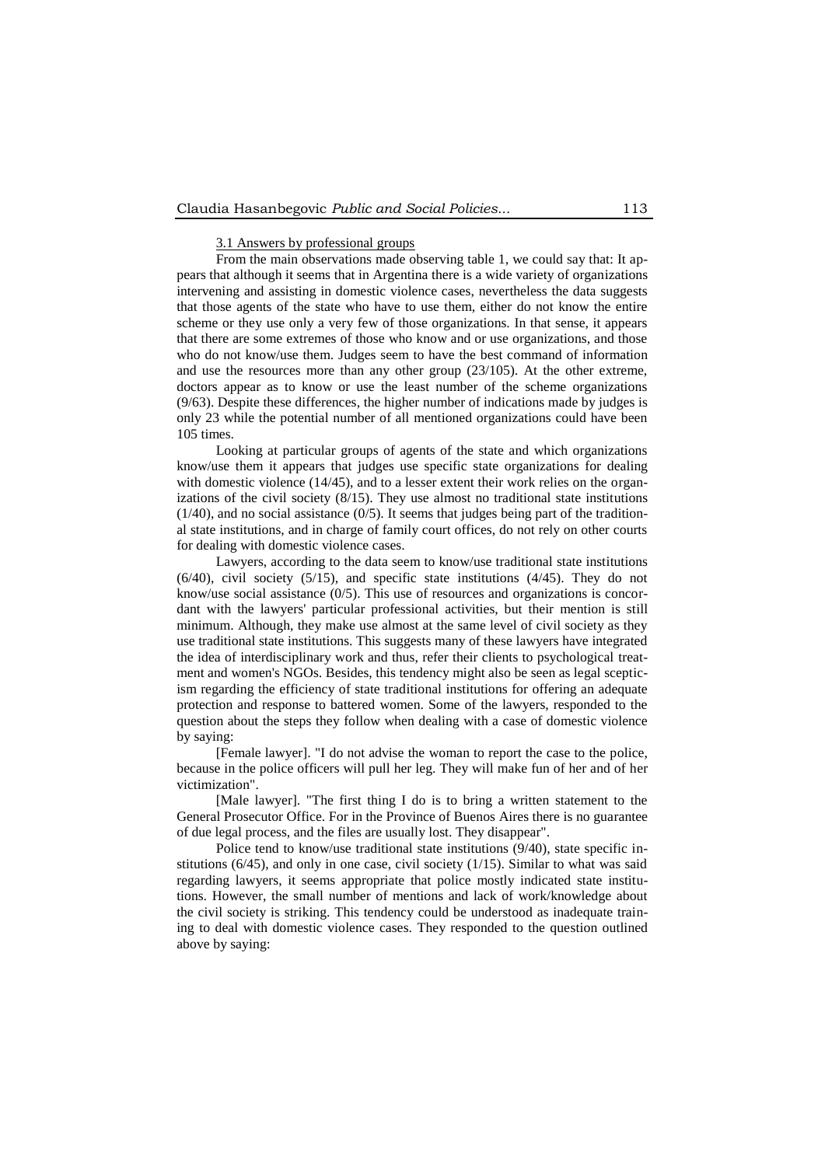## 3.1 Answers by professional groups

From the main observations made observing table 1, we could say that: It appears that although it seems that in Argentina there is a wide variety of organizations intervening and assisting in domestic violence cases, nevertheless the data suggests that those agents of the state who have to use them, either do not know the entire scheme or they use only a very few of those organizations. In that sense, it appears that there are some extremes of those who know and or use organizations, and those who do not know/use them. Judges seem to have the best command of information and use the resources more than any other group (23/105). At the other extreme, doctors appear as to know or use the least number of the scheme organizations (9/63). Despite these differences, the higher number of indications made by judges is only 23 while the potential number of all mentioned organizations could have been 105 times.

Looking at particular groups of agents of the state and which organizations know/use them it appears that judges use specific state organizations for dealing with domestic violence (14/45), and to a lesser extent their work relies on the organizations of the civil society (8/15). They use almost no traditional state institutions  $(1/40)$ , and no social assistance  $(0/5)$ . It seems that judges being part of the traditional state institutions, and in charge of family court offices, do not rely on other courts for dealing with domestic violence cases.

Lawyers, according to the data seem to know/use traditional state institutions (6/40), civil society (5/15), and specific state institutions (4/45). They do not know/use social assistance  $(0/5)$ . This use of resources and organizations is concordant with the lawyers' particular professional activities, but their mention is still minimum. Although, they make use almost at the same level of civil society as they use traditional state institutions. This suggests many of these lawyers have integrated the idea of interdisciplinary work and thus, refer their clients to psychological treatment and women's NGOs. Besides, this tendency might also be seen as legal scepticism regarding the efficiency of state traditional institutions for offering an adequate protection and response to battered women. Some of the lawyers, responded to the question about the steps they follow when dealing with a case of domestic violence by saying:

[Female lawyer]. "I do not advise the woman to report the case to the police, because in the police officers will pull her leg. They will make fun of her and of her victimization".

[Male lawyer]. "The first thing I do is to bring a written statement to the General Prosecutor Office. For in the Province of Buenos Aires there is no guarantee of due legal process, and the files are usually lost. They disappear".

Police tend to know/use traditional state institutions (9/40), state specific institutions  $(6/45)$ , and only in one case, civil society  $(1/15)$ . Similar to what was said regarding lawyers, it seems appropriate that police mostly indicated state institutions. However, the small number of mentions and lack of work/knowledge about the civil society is striking. This tendency could be understood as inadequate training to deal with domestic violence cases. They responded to the question outlined above by saying: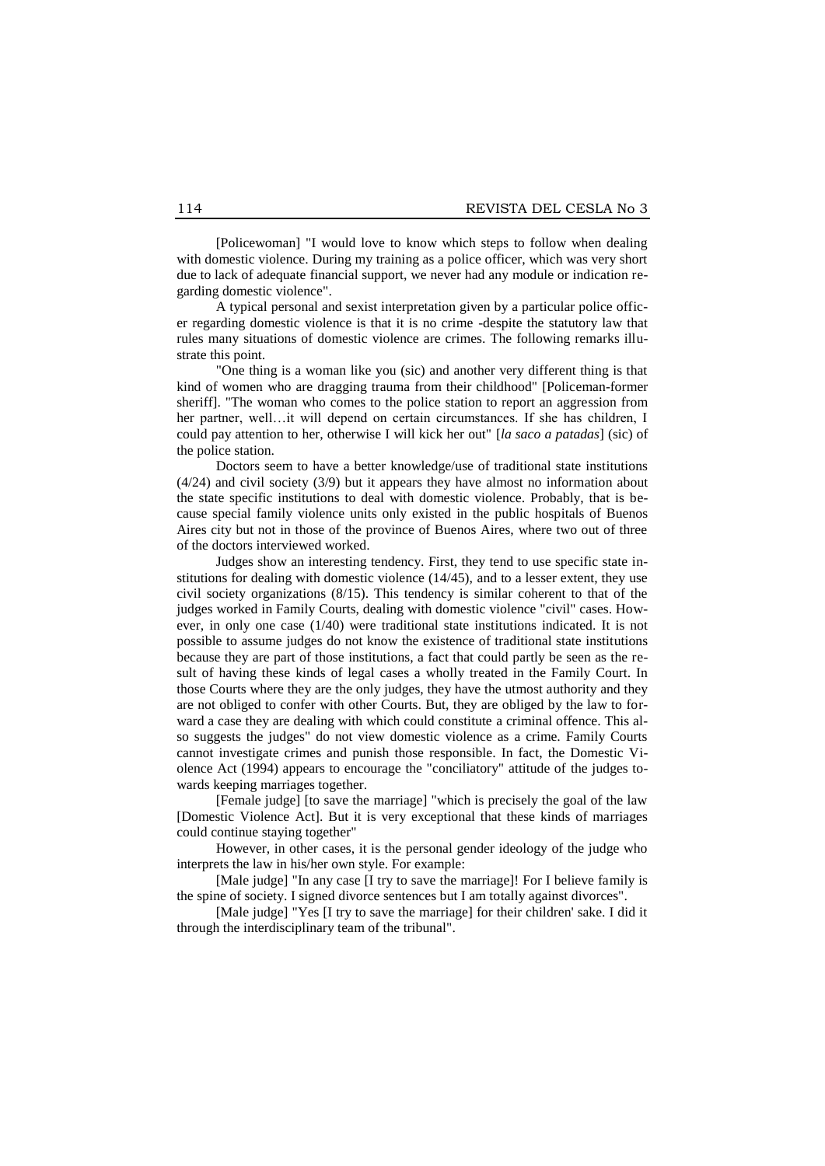[Policewoman] "I would love to know which steps to follow when dealing with domestic violence. During my training as a police officer, which was very short due to lack of adequate financial support, we never had any module or indication regarding domestic violence".

A typical personal and sexist interpretation given by a particular police officer regarding domestic violence is that it is no crime -despite the statutory law that rules many situations of domestic violence are crimes. The following remarks illustrate this point.

"One thing is a woman like you (sic) and another very different thing is that kind of women who are dragging trauma from their childhood" [Policeman-former sheriff]. "The woman who comes to the police station to report an aggression from her partner, well…it will depend on certain circumstances. If she has children, I could pay attention to her, otherwise I will kick her out" [*la saco a patadas*] (sic) of the police station.

Doctors seem to have a better knowledge/use of traditional state institutions (4/24) and civil society (3/9) but it appears they have almost no information about the state specific institutions to deal with domestic violence. Probably, that is because special family violence units only existed in the public hospitals of Buenos Aires city but not in those of the province of Buenos Aires, where two out of three of the doctors interviewed worked.

Judges show an interesting tendency. First, they tend to use specific state institutions for dealing with domestic violence (14/45), and to a lesser extent, they use civil society organizations (8/15). This tendency is similar coherent to that of the judges worked in Family Courts, dealing with domestic violence "civil" cases. However, in only one case (1/40) were traditional state institutions indicated. It is not possible to assume judges do not know the existence of traditional state institutions because they are part of those institutions, a fact that could partly be seen as the result of having these kinds of legal cases a wholly treated in the Family Court. In those Courts where they are the only judges, they have the utmost authority and they are not obliged to confer with other Courts. But, they are obliged by the law to forward a case they are dealing with which could constitute a criminal offence. This also suggests the judges" do not view domestic violence as a crime. Family Courts cannot investigate crimes and punish those responsible. In fact, the Domestic Violence Act (1994) appears to encourage the "conciliatory" attitude of the judges towards keeping marriages together.

[Female judge] [to save the marriage] "which is precisely the goal of the law [Domestic Violence Act]. But it is very exceptional that these kinds of marriages could continue staying together"

However, in other cases, it is the personal gender ideology of the judge who interprets the law in his/her own style. For example:

[Male judge] "In any case [I try to save the marriage]! For I believe family is the spine of society. I signed divorce sentences but I am totally against divorces".

[Male judge] "Yes [I try to save the marriage] for their children' sake. I did it through the interdisciplinary team of the tribunal".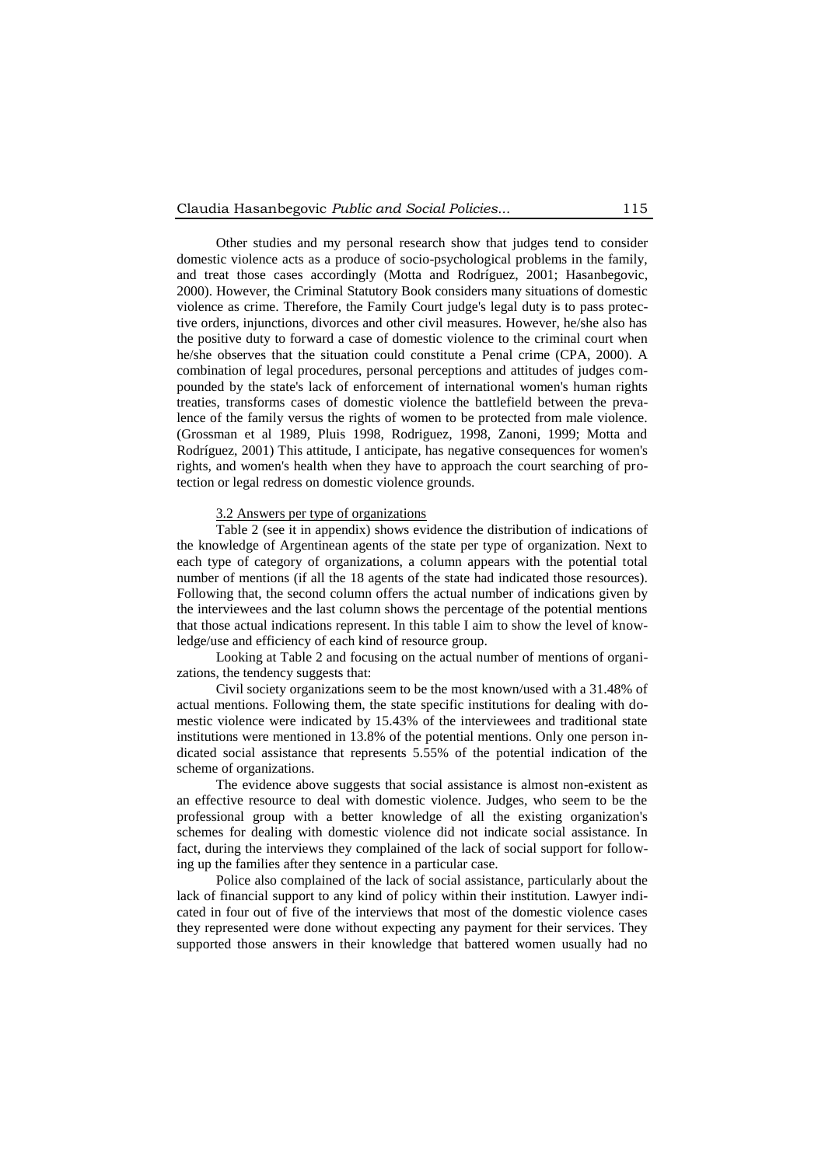Other studies and my personal research show that judges tend to consider domestic violence acts as a produce of socio-psychological problems in the family, and treat those cases accordingly (Motta and Rodríguez, 2001; Hasanbegovic, 2000). However, the Criminal Statutory Book considers many situations of domestic violence as crime. Therefore, the Family Court judge's legal duty is to pass protective orders, injunctions, divorces and other civil measures. However, he/she also has the positive duty to forward a case of domestic violence to the criminal court when he/she observes that the situation could constitute a Penal crime (CPA, 2000). A combination of legal procedures, personal perceptions and attitudes of judges compounded by the state's lack of enforcement of international women's human rights treaties, transforms cases of domestic violence the battlefield between the prevalence of the family versus the rights of women to be protected from male violence. (Grossman et al 1989, Pluis 1998, Rodriguez, 1998, Zanoni, 1999; Motta and Rodríguez, 2001) This attitude, I anticipate, has negative consequences for women's rights, and women's health when they have to approach the court searching of protection or legal redress on domestic violence grounds.

# 3.2 Answers per type of organizations

Table 2 (see it in appendix) shows evidence the distribution of indications of the knowledge of Argentinean agents of the state per type of organization. Next to each type of category of organizations, a column appears with the potential total number of mentions (if all the 18 agents of the state had indicated those resources). Following that, the second column offers the actual number of indications given by the interviewees and the last column shows the percentage of the potential mentions that those actual indications represent. In this table I aim to show the level of knowledge/use and efficiency of each kind of resource group.

Looking at Table 2 and focusing on the actual number of mentions of organizations, the tendency suggests that:

Civil society organizations seem to be the most known/used with a 31.48% of actual mentions. Following them, the state specific institutions for dealing with domestic violence were indicated by 15.43% of the interviewees and traditional state institutions were mentioned in 13.8% of the potential mentions. Only one person indicated social assistance that represents 5.55% of the potential indication of the scheme of organizations.

The evidence above suggests that social assistance is almost non-existent as an effective resource to deal with domestic violence. Judges, who seem to be the professional group with a better knowledge of all the existing organization's schemes for dealing with domestic violence did not indicate social assistance. In fact, during the interviews they complained of the lack of social support for following up the families after they sentence in a particular case.

Police also complained of the lack of social assistance, particularly about the lack of financial support to any kind of policy within their institution. Lawyer indicated in four out of five of the interviews that most of the domestic violence cases they represented were done without expecting any payment for their services. They supported those answers in their knowledge that battered women usually had no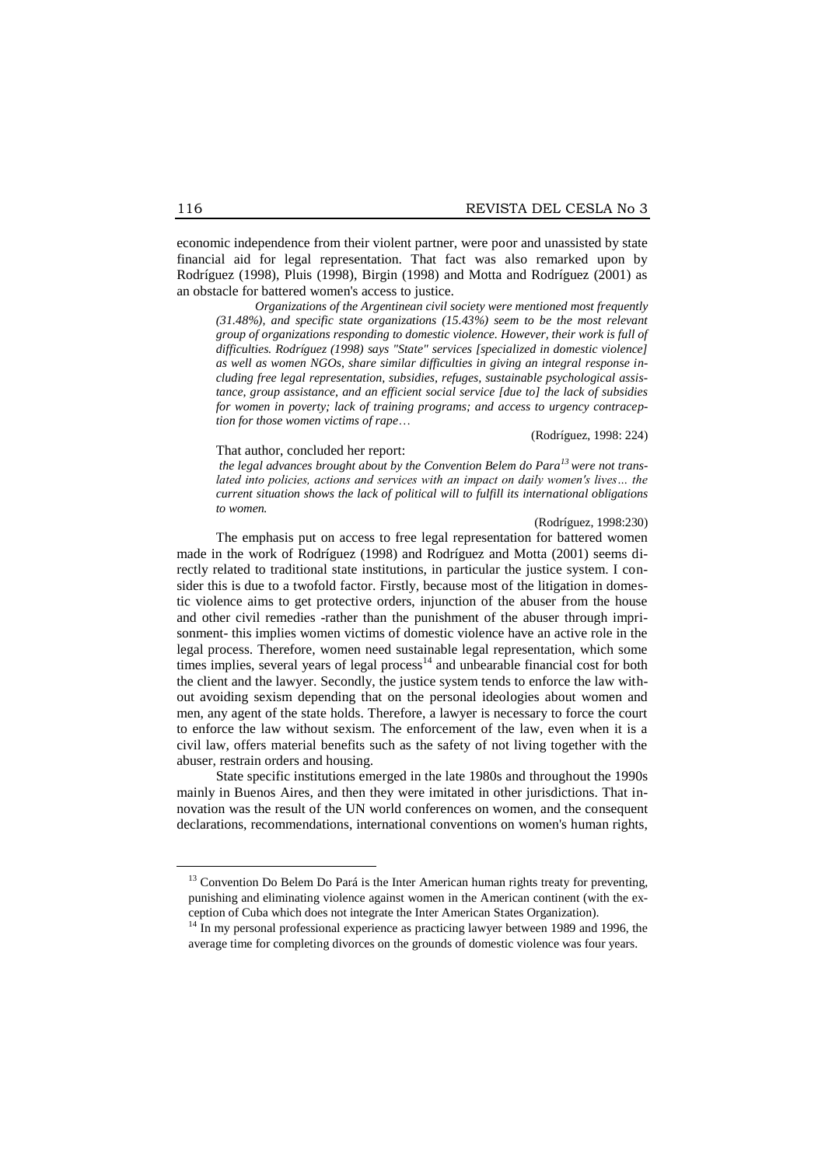economic independence from their violent partner, were poor and unassisted by state financial aid for legal representation. That fact was also remarked upon by Rodríguez (1998), Pluis (1998), Birgin (1998) and Motta and Rodríguez (2001) as an obstacle for battered women's access to justice.

*Organizations of the Argentinean civil society were mentioned most frequently (31.48%), and specific state organizations (15.43%) seem to be the most relevant group of organizations responding to domestic violence. However, their work is full of difficulties. Rodríguez (1998) says "State" services [specialized in domestic violence] as well as women NGOs, share similar difficulties in giving an integral response including free legal representation, subsidies, refuges, sustainable psychological assistance, group assistance, and an efficient social service [due to] the lack of subsidies for women in poverty; lack of training programs; and access to urgency contraception for those women victims of rape*…

(Rodríguez, 1998: 224)

That author, concluded her report:

*the legal advances brought about by the Convention Belem do Para<sup>13</sup> were not translated into policies, actions and services with an impact on daily women's lives... the current situation shows the lack of political will to fulfill its international obligations to women.*

#### (Rodríguez, 1998:230)

The emphasis put on access to free legal representation for battered women made in the work of Rodríguez (1998) and Rodríguez and Motta (2001) seems directly related to traditional state institutions, in particular the justice system. I consider this is due to a twofold factor. Firstly, because most of the litigation in domestic violence aims to get protective orders, injunction of the abuser from the house and other civil remedies -rather than the punishment of the abuser through imprisonment- this implies women victims of domestic violence have an active role in the legal process. Therefore, women need sustainable legal representation, which some times implies, several years of legal process $14$  and unbearable financial cost for both the client and the lawyer. Secondly, the justice system tends to enforce the law without avoiding sexism depending that on the personal ideologies about women and men, any agent of the state holds. Therefore, a lawyer is necessary to force the court to enforce the law without sexism. The enforcement of the law, even when it is a civil law, offers material benefits such as the safety of not living together with the abuser, restrain orders and housing.

State specific institutions emerged in the late 1980s and throughout the 1990s mainly in Buenos Aires, and then they were imitated in other jurisdictions. That innovation was the result of the UN world conferences on women, and the consequent declarations, recommendations, international conventions on women's human rights,

1

 $13$  Convention Do Belem Do Pará is the Inter American human rights treaty for preventing, punishing and eliminating violence against women in the American continent (with the exception of Cuba which does not integrate the Inter American States Organization).

<sup>&</sup>lt;sup>14</sup> In my personal professional experience as practicing lawyer between 1989 and 1996, the average time for completing divorces on the grounds of domestic violence was four years.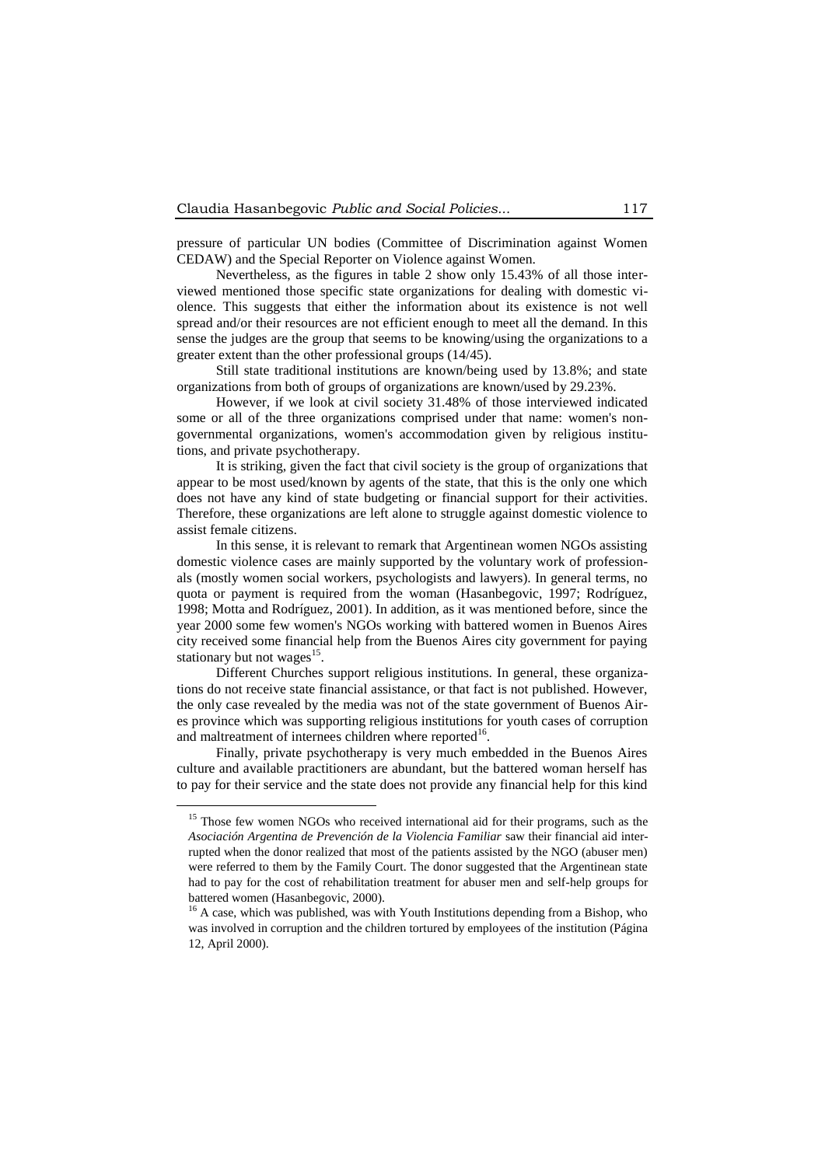pressure of particular UN bodies (Committee of Discrimination against Women CEDAW) and the Special Reporter on Violence against Women.

Nevertheless, as the figures in table 2 show only 15.43% of all those interviewed mentioned those specific state organizations for dealing with domestic violence. This suggests that either the information about its existence is not well spread and/or their resources are not efficient enough to meet all the demand. In this sense the judges are the group that seems to be knowing/using the organizations to a greater extent than the other professional groups (14/45).

Still state traditional institutions are known/being used by 13.8%; and state organizations from both of groups of organizations are known/used by 29.23%.

However, if we look at civil society 31.48% of those interviewed indicated some or all of the three organizations comprised under that name: women's nongovernmental organizations, women's accommodation given by religious institutions, and private psychotherapy.

It is striking, given the fact that civil society is the group of organizations that appear to be most used/known by agents of the state, that this is the only one which does not have any kind of state budgeting or financial support for their activities. Therefore, these organizations are left alone to struggle against domestic violence to assist female citizens.

In this sense, it is relevant to remark that Argentinean women NGOs assisting domestic violence cases are mainly supported by the voluntary work of professionals (mostly women social workers, psychologists and lawyers). In general terms, no quota or payment is required from the woman (Hasanbegovic, 1997; Rodríguez, 1998; Motta and Rodríguez, 2001). In addition, as it was mentioned before, since the year 2000 some few women's NGOs working with battered women in Buenos Aires city received some financial help from the Buenos Aires city government for paying stationary but not wages $^{15}$ .

Different Churches support religious institutions. In general, these organizations do not receive state financial assistance, or that fact is not published. However, the only case revealed by the media was not of the state government of Buenos Aires province which was supporting religious institutions for youth cases of corruption and maltreatment of internees children where reported<sup>16</sup>.

Finally, private psychotherapy is very much embedded in the Buenos Aires culture and available practitioners are abundant, but the battered woman herself has to pay for their service and the state does not provide any financial help for this kind

<u>.</u>

<sup>&</sup>lt;sup>15</sup> Those few women NGOs who received international aid for their programs, such as the *Asociación Argentina de Prevención de la Violencia Familiar* saw their financial aid interrupted when the donor realized that most of the patients assisted by the NGO (abuser men) were referred to them by the Family Court. The donor suggested that the Argentinean state had to pay for the cost of rehabilitation treatment for abuser men and self-help groups for battered women (Hasanbegovic, 2000).

<sup>&</sup>lt;sup>16</sup> A case, which was published, was with Youth Institutions depending from a Bishop, who was involved in corruption and the children tortured by employees of the institution (Página 12, April 2000).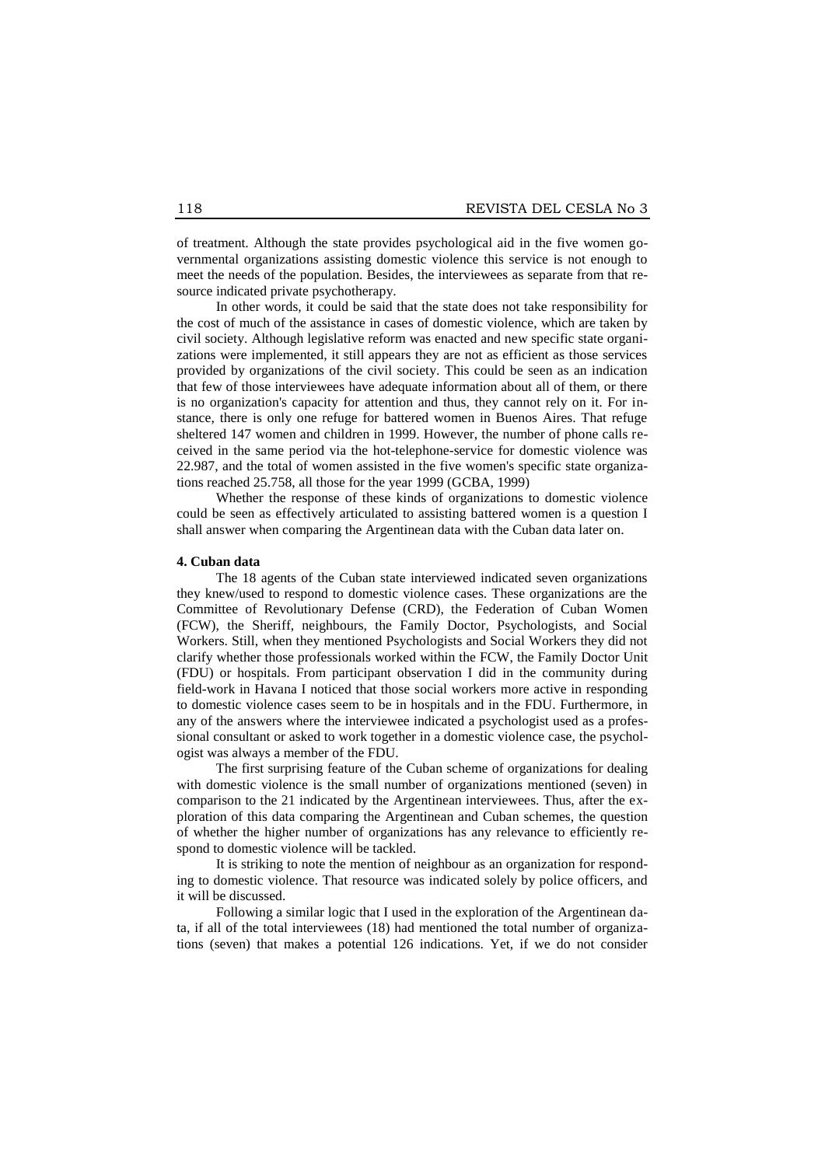of treatment. Although the state provides psychological aid in the five women governmental organizations assisting domestic violence this service is not enough to meet the needs of the population. Besides, the interviewees as separate from that resource indicated private psychotherapy.

In other words, it could be said that the state does not take responsibility for the cost of much of the assistance in cases of domestic violence, which are taken by civil society. Although legislative reform was enacted and new specific state organizations were implemented, it still appears they are not as efficient as those services provided by organizations of the civil society. This could be seen as an indication that few of those interviewees have adequate information about all of them, or there is no organization's capacity for attention and thus, they cannot rely on it. For instance, there is only one refuge for battered women in Buenos Aires. That refuge sheltered 147 women and children in 1999. However, the number of phone calls received in the same period via the hot-telephone-service for domestic violence was 22.987, and the total of women assisted in the five women's specific state organizations reached 25.758, all those for the year 1999 (GCBA, 1999)

Whether the response of these kinds of organizations to domestic violence could be seen as effectively articulated to assisting battered women is a question I shall answer when comparing the Argentinean data with the Cuban data later on.

#### **4. Cuban data**

The 18 agents of the Cuban state interviewed indicated seven organizations they knew/used to respond to domestic violence cases. These organizations are the Committee of Revolutionary Defense (CRD), the Federation of Cuban Women (FCW), the Sheriff, neighbours, the Family Doctor, Psychologists, and Social Workers. Still, when they mentioned Psychologists and Social Workers they did not clarify whether those professionals worked within the FCW, the Family Doctor Unit (FDU) or hospitals. From participant observation I did in the community during field-work in Havana I noticed that those social workers more active in responding to domestic violence cases seem to be in hospitals and in the FDU. Furthermore, in any of the answers where the interviewee indicated a psychologist used as a professional consultant or asked to work together in a domestic violence case, the psychologist was always a member of the FDU.

The first surprising feature of the Cuban scheme of organizations for dealing with domestic violence is the small number of organizations mentioned (seven) in comparison to the 21 indicated by the Argentinean interviewees. Thus, after the exploration of this data comparing the Argentinean and Cuban schemes, the question of whether the higher number of organizations has any relevance to efficiently respond to domestic violence will be tackled.

It is striking to note the mention of neighbour as an organization for responding to domestic violence. That resource was indicated solely by police officers, and it will be discussed.

Following a similar logic that I used in the exploration of the Argentinean data, if all of the total interviewees (18) had mentioned the total number of organizations (seven) that makes a potential 126 indications. Yet, if we do not consider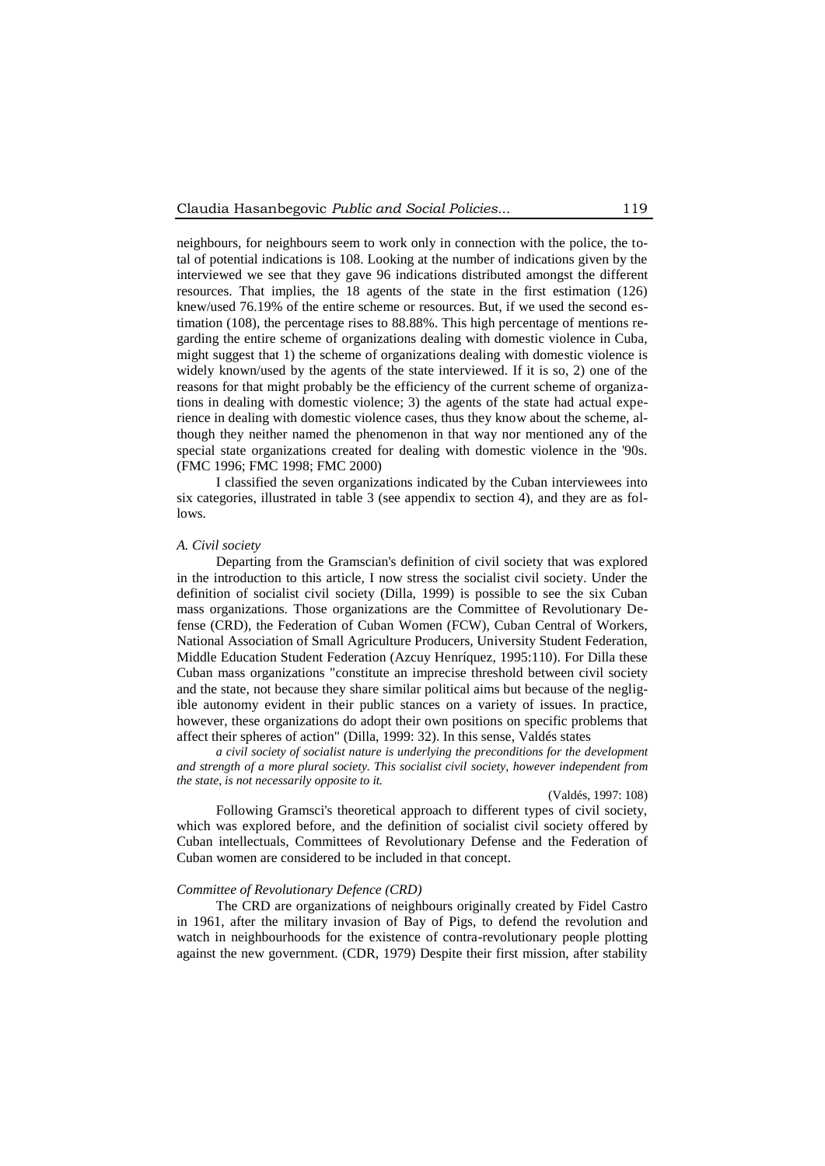neighbours, for neighbours seem to work only in connection with the police, the total of potential indications is 108. Looking at the number of indications given by the interviewed we see that they gave 96 indications distributed amongst the different resources. That implies, the 18 agents of the state in the first estimation (126) knew/used 76.19% of the entire scheme or resources. But, if we used the second estimation (108), the percentage rises to 88.88%. This high percentage of mentions regarding the entire scheme of organizations dealing with domestic violence in Cuba, might suggest that 1) the scheme of organizations dealing with domestic violence is widely known/used by the agents of the state interviewed. If it is so, 2) one of the reasons for that might probably be the efficiency of the current scheme of organizations in dealing with domestic violence; 3) the agents of the state had actual experience in dealing with domestic violence cases, thus they know about the scheme, although they neither named the phenomenon in that way nor mentioned any of the special state organizations created for dealing with domestic violence in the '90s. (FMC 1996; FMC 1998; FMC 2000)

I classified the seven organizations indicated by the Cuban interviewees into six categories, illustrated in table 3 (see appendix to section 4), and they are as follows.

# *A. Civil society*

Departing from the Gramscian's definition of civil society that was explored in the introduction to this article, I now stress the socialist civil society. Under the definition of socialist civil society (Dilla, 1999) is possible to see the six Cuban mass organizations. Those organizations are the Committee of Revolutionary Defense (CRD), the Federation of Cuban Women (FCW), Cuban Central of Workers, National Association of Small Agriculture Producers, University Student Federation, Middle Education Student Federation (Azcuy Henríquez, 1995:110). For Dilla these Cuban mass organizations "constitute an imprecise threshold between civil society and the state, not because they share similar political aims but because of the negligible autonomy evident in their public stances on a variety of issues. In practice, however, these organizations do adopt their own positions on specific problems that affect their spheres of action" (Dilla, 1999: 32). In this sense, Valdés states

*a civil society of socialist nature is underlying the preconditions for the development and strength of a more plural society. This socialist civil society, however independent from the state, is not necessarily opposite to it.*

# (Valdés, 1997: 108)

Following Gramsci's theoretical approach to different types of civil society, which was explored before, and the definition of socialist civil society offered by Cuban intellectuals, Committees of Revolutionary Defense and the Federation of Cuban women are considered to be included in that concept.

#### *Committee of Revolutionary Defence (CRD)*

The CRD are organizations of neighbours originally created by Fidel Castro in 1961, after the military invasion of Bay of Pigs, to defend the revolution and watch in neighbourhoods for the existence of contra-revolutionary people plotting against the new government. (CDR, 1979) Despite their first mission, after stability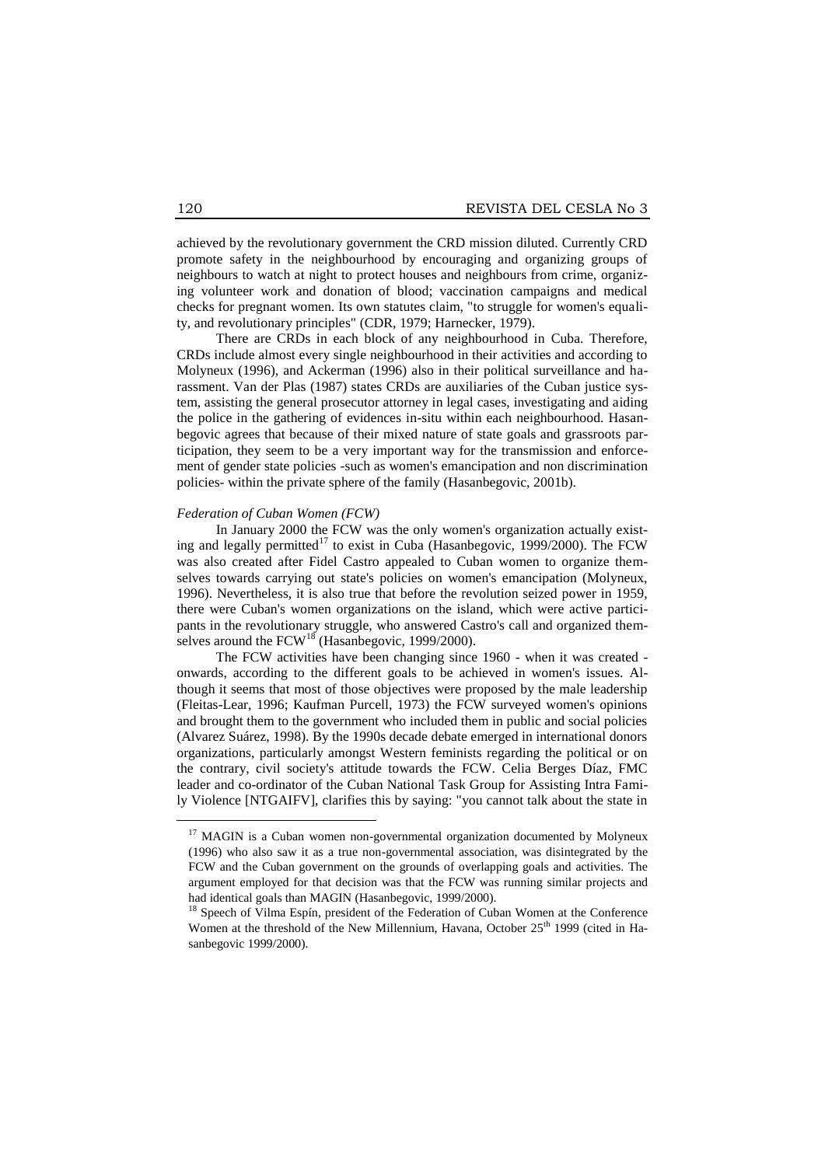achieved by the revolutionary government the CRD mission diluted. Currently CRD promote safety in the neighbourhood by encouraging and organizing groups of neighbours to watch at night to protect houses and neighbours from crime, organizing volunteer work and donation of blood; vaccination campaigns and medical checks for pregnant women. Its own statutes claim, "to struggle for women's equality, and revolutionary principles" (CDR, 1979; Harnecker, 1979).

There are CRDs in each block of any neighbourhood in Cuba. Therefore, CRDs include almost every single neighbourhood in their activities and according to Molyneux (1996), and Ackerman (1996) also in their political surveillance and harassment. Van der Plas (1987) states CRDs are auxiliaries of the Cuban justice system, assisting the general prosecutor attorney in legal cases, investigating and aiding the police in the gathering of evidences in-situ within each neighbourhood. Hasanbegovic agrees that because of their mixed nature of state goals and grassroots participation, they seem to be a very important way for the transmission and enforcement of gender state policies -such as women's emancipation and non discrimination policies- within the private sphere of the family (Hasanbegovic, 2001b).

# *Federation of Cuban Women (FCW)*

In January 2000 the FCW was the only women's organization actually existing and legally permitted<sup>17</sup> to exist in Cuba (Hasanbegovic, 1999/2000). The FCW was also created after Fidel Castro appealed to Cuban women to organize themselves towards carrying out state's policies on women's emancipation (Molyneux, 1996). Nevertheless, it is also true that before the revolution seized power in 1959, there were Cuban's women organizations on the island, which were active participants in the revolutionary struggle, who answered Castro's call and organized themselves around the  $FCW^{18}$  (Hasanbegovic, 1999/2000).

The FCW activities have been changing since 1960 - when it was created onwards, according to the different goals to be achieved in women's issues. Although it seems that most of those objectives were proposed by the male leadership (Fleitas-Lear, 1996; Kaufman Purcell, 1973) the FCW surveyed women's opinions and brought them to the government who included them in public and social policies (Alvarez Suárez, 1998). By the 1990s decade debate emerged in international donors organizations, particularly amongst Western feminists regarding the political or on the contrary, civil society's attitude towards the FCW. Celia Berges Díaz, FMC leader and co-ordinator of the Cuban National Task Group for Assisting Intra Family Violence [NTGAIFV], clarifies this by saying: "you cannot talk about the state in

1

<sup>&</sup>lt;sup>17</sup> MAGIN is a Cuban women non-governmental organization documented by Molyneux (1996) who also saw it as a true non-governmental association, was disintegrated by the FCW and the Cuban government on the grounds of overlapping goals and activities. The argument employed for that decision was that the FCW was running similar projects and had identical goals than MAGIN (Hasanbegovic, 1999/2000).

<sup>&</sup>lt;sup>18</sup> Speech of Vilma Espín, president of the Federation of Cuban Women at the Conference Women at the threshold of the New Millennium, Havana, October  $25<sup>th</sup>$  1999 (cited in Hasanbegovic 1999/2000).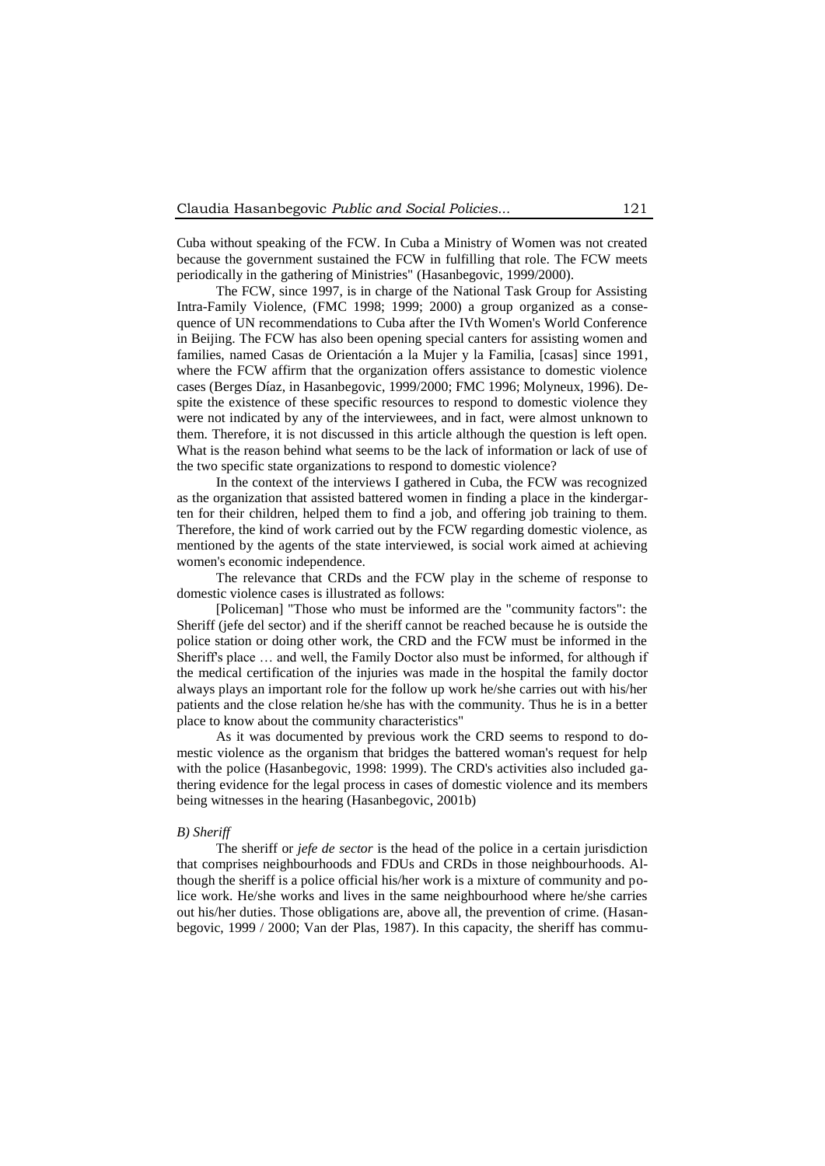Cuba without speaking of the FCW. In Cuba a Ministry of Women was not created because the government sustained the FCW in fulfilling that role. The FCW meets periodically in the gathering of Ministries" (Hasanbegovic, 1999/2000).

The FCW, since 1997, is in charge of the National Task Group for Assisting Intra-Family Violence, (FMC 1998; 1999; 2000) a group organized as a consequence of UN recommendations to Cuba after the IVth Women's World Conference in Beijing. The FCW has also been opening special canters for assisting women and families, named Casas de Orientación a la Mujer y la Familia, [casas] since 1991, where the FCW affirm that the organization offers assistance to domestic violence cases (Berges Díaz, in Hasanbegovic, 1999/2000; FMC 1996; Molyneux, 1996). Despite the existence of these specific resources to respond to domestic violence they were not indicated by any of the interviewees, and in fact, were almost unknown to them. Therefore, it is not discussed in this article although the question is left open. What is the reason behind what seems to be the lack of information or lack of use of the two specific state organizations to respond to domestic violence?

In the context of the interviews I gathered in Cuba, the FCW was recognized as the organization that assisted battered women in finding a place in the kindergarten for their children, helped them to find a job, and offering job training to them. Therefore, the kind of work carried out by the FCW regarding domestic violence, as mentioned by the agents of the state interviewed, is social work aimed at achieving women's economic independence.

The relevance that CRDs and the FCW play in the scheme of response to domestic violence cases is illustrated as follows:

[Policeman] "Those who must be informed are the "community factors": the Sheriff (jefe del sector) and if the sheriff cannot be reached because he is outside the police station or doing other work, the CRD and the FCW must be informed in the Sheriff's place … and well, the Family Doctor also must be informed, for although if the medical certification of the injuries was made in the hospital the family doctor always plays an important role for the follow up work he/she carries out with his/her patients and the close relation he/she has with the community. Thus he is in a better place to know about the community characteristics"

As it was documented by previous work the CRD seems to respond to domestic violence as the organism that bridges the battered woman's request for help with the police (Hasanbegovic, 1998: 1999). The CRD's activities also included gathering evidence for the legal process in cases of domestic violence and its members being witnesses in the hearing (Hasanbegovic, 2001b)

#### *B) Sheriff*

The sheriff or *jefe de sector* is the head of the police in a certain jurisdiction that comprises neighbourhoods and FDUs and CRDs in those neighbourhoods. Although the sheriff is a police official his/her work is a mixture of community and police work. He/she works and lives in the same neighbourhood where he/she carries out his/her duties. Those obligations are, above all, the prevention of crime. (Hasanbegovic, 1999 / 2000; Van der Plas, 1987). In this capacity, the sheriff has commu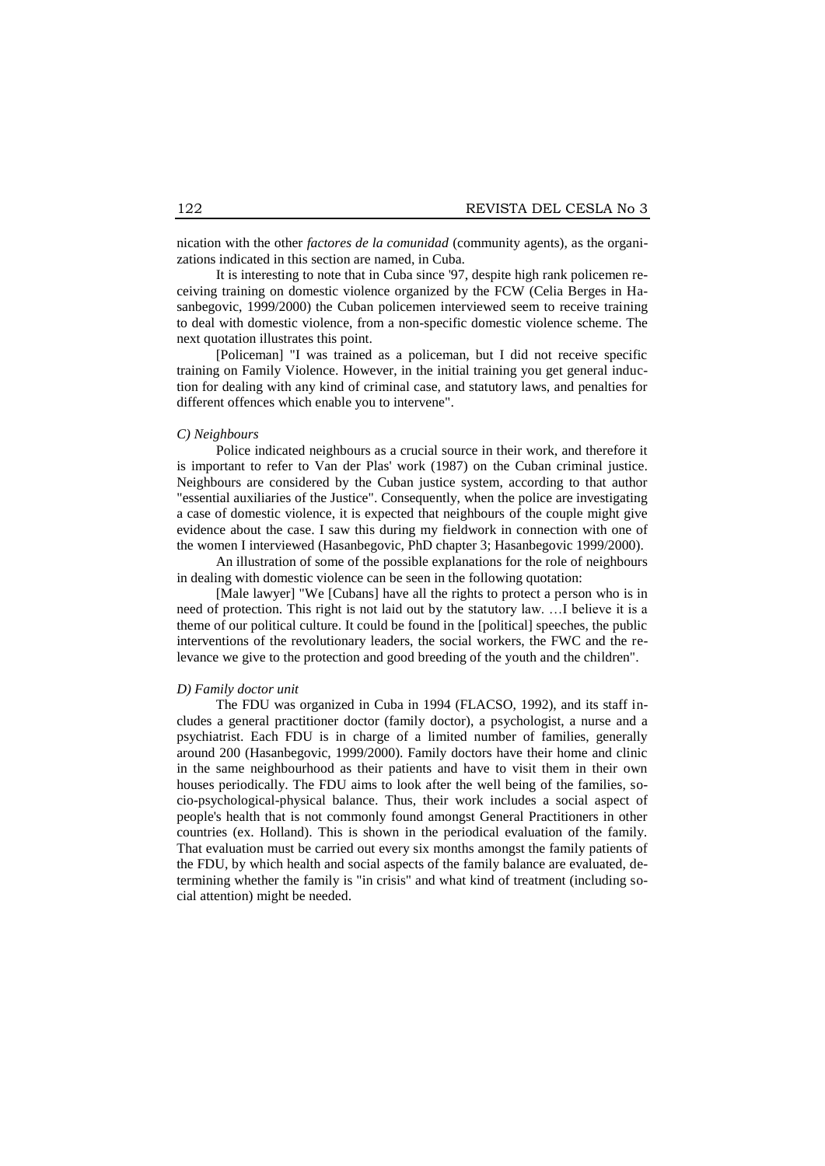nication with the other *factores de la comunidad* (community agents), as the organizations indicated in this section are named, in Cuba.

It is interesting to note that in Cuba since '97, despite high rank policemen receiving training on domestic violence organized by the FCW (Celia Berges in Hasanbegovic, 1999/2000) the Cuban policemen interviewed seem to receive training to deal with domestic violence, from a non-specific domestic violence scheme. The next quotation illustrates this point.

[Policeman] "I was trained as a policeman, but I did not receive specific training on Family Violence. However, in the initial training you get general induction for dealing with any kind of criminal case, and statutory laws, and penalties for different offences which enable you to intervene".

# *C) Neighbours*

Police indicated neighbours as a crucial source in their work, and therefore it is important to refer to Van der Plas' work (1987) on the Cuban criminal justice. Neighbours are considered by the Cuban justice system, according to that author "essential auxiliaries of the Justice". Consequently, when the police are investigating a case of domestic violence, it is expected that neighbours of the couple might give evidence about the case. I saw this during my fieldwork in connection with one of the women I interviewed (Hasanbegovic, PhD chapter 3; Hasanbegovic 1999/2000).

An illustration of some of the possible explanations for the role of neighbours in dealing with domestic violence can be seen in the following quotation:

[Male lawyer] "We [Cubans] have all the rights to protect a person who is in need of protection. This right is not laid out by the statutory law. …I believe it is a theme of our political culture. It could be found in the [political] speeches, the public interventions of the revolutionary leaders, the social workers, the FWC and the relevance we give to the protection and good breeding of the youth and the children".

#### *D) Family doctor unit*

The FDU was organized in Cuba in 1994 (FLACSO, 1992), and its staff includes a general practitioner doctor (family doctor), a psychologist, a nurse and a psychiatrist. Each FDU is in charge of a limited number of families, generally around 200 (Hasanbegovic, 1999/2000). Family doctors have their home and clinic in the same neighbourhood as their patients and have to visit them in their own houses periodically. The FDU aims to look after the well being of the families, socio-psychological-physical balance. Thus, their work includes a social aspect of people's health that is not commonly found amongst General Practitioners in other countries (ex. Holland). This is shown in the periodical evaluation of the family. That evaluation must be carried out every six months amongst the family patients of the FDU, by which health and social aspects of the family balance are evaluated, determining whether the family is "in crisis" and what kind of treatment (including social attention) might be needed.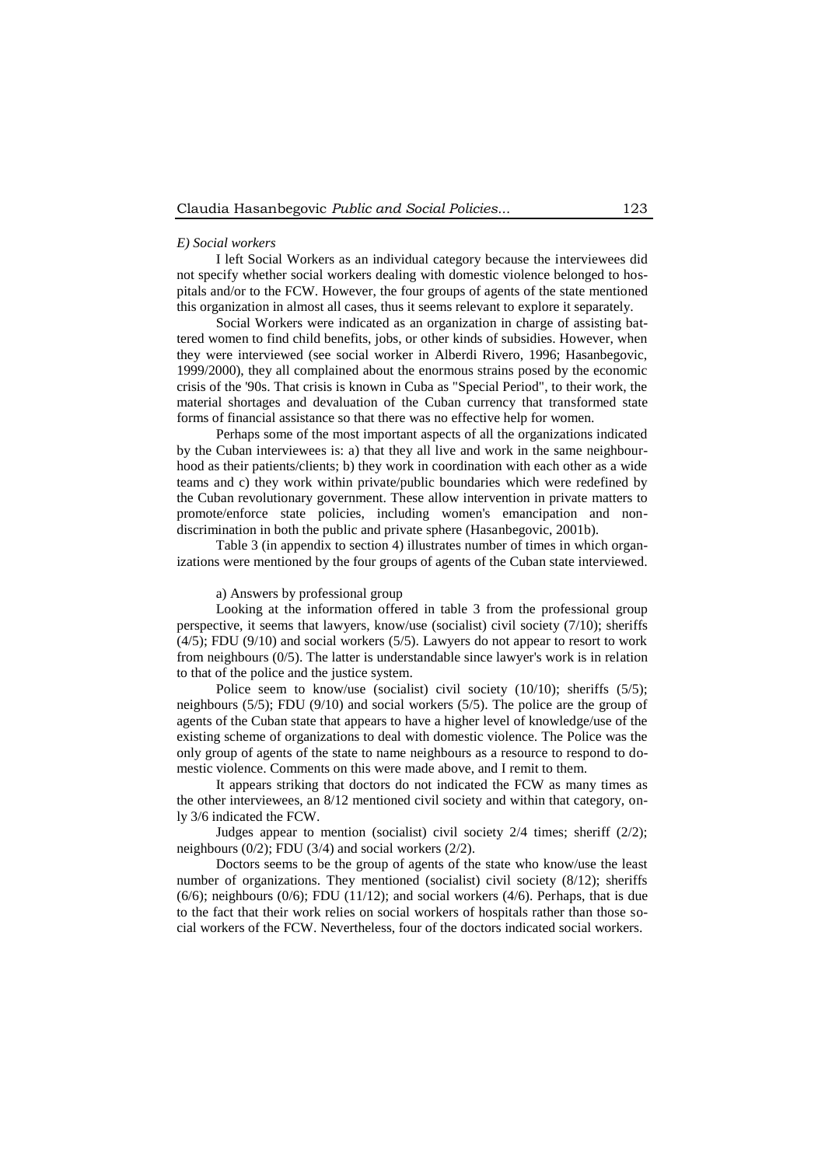#### *E) Social workers*

I left Social Workers as an individual category because the interviewees did not specify whether social workers dealing with domestic violence belonged to hospitals and/or to the FCW. However, the four groups of agents of the state mentioned this organization in almost all cases, thus it seems relevant to explore it separately.

Social Workers were indicated as an organization in charge of assisting battered women to find child benefits, jobs, or other kinds of subsidies. However, when they were interviewed (see social worker in Alberdi Rivero, 1996; Hasanbegovic, 1999/2000), they all complained about the enormous strains posed by the economic crisis of the '90s. That crisis is known in Cuba as "Special Period", to their work, the material shortages and devaluation of the Cuban currency that transformed state forms of financial assistance so that there was no effective help for women.

Perhaps some of the most important aspects of all the organizations indicated by the Cuban interviewees is: a) that they all live and work in the same neighbourhood as their patients/clients; b) they work in coordination with each other as a wide teams and c) they work within private/public boundaries which were redefined by the Cuban revolutionary government. These allow intervention in private matters to promote/enforce state policies, including women's emancipation and nondiscrimination in both the public and private sphere (Hasanbegovic, 2001b).

Table 3 (in appendix to section 4) illustrates number of times in which organizations were mentioned by the four groups of agents of the Cuban state interviewed.

# a) Answers by professional group

Looking at the information offered in table 3 from the professional group perspective, it seems that lawyers, know/use (socialist) civil society (7/10); sheriffs (4/5); FDU (9/10) and social workers (5/5). Lawyers do not appear to resort to work from neighbours (0/5). The latter is understandable since lawyer's work is in relation to that of the police and the justice system.

Police seem to know/use (socialist) civil society (10/10); sheriffs (5/5); neighbours (5/5); FDU (9/10) and social workers (5/5). The police are the group of agents of the Cuban state that appears to have a higher level of knowledge/use of the existing scheme of organizations to deal with domestic violence. The Police was the only group of agents of the state to name neighbours as a resource to respond to domestic violence. Comments on this were made above, and I remit to them.

It appears striking that doctors do not indicated the FCW as many times as the other interviewees, an 8/12 mentioned civil society and within that category, only 3/6 indicated the FCW.

Judges appear to mention (socialist) civil society 2/4 times; sheriff (2/2); neighbours (0/2); FDU (3/4) and social workers (2/2).

Doctors seems to be the group of agents of the state who know/use the least number of organizations. They mentioned (socialist) civil society (8/12); sheriffs  $(6/6)$ ; neighbours  $(0/6)$ ; FDU  $(11/12)$ ; and social workers  $(4/6)$ . Perhaps, that is due to the fact that their work relies on social workers of hospitals rather than those social workers of the FCW. Nevertheless, four of the doctors indicated social workers.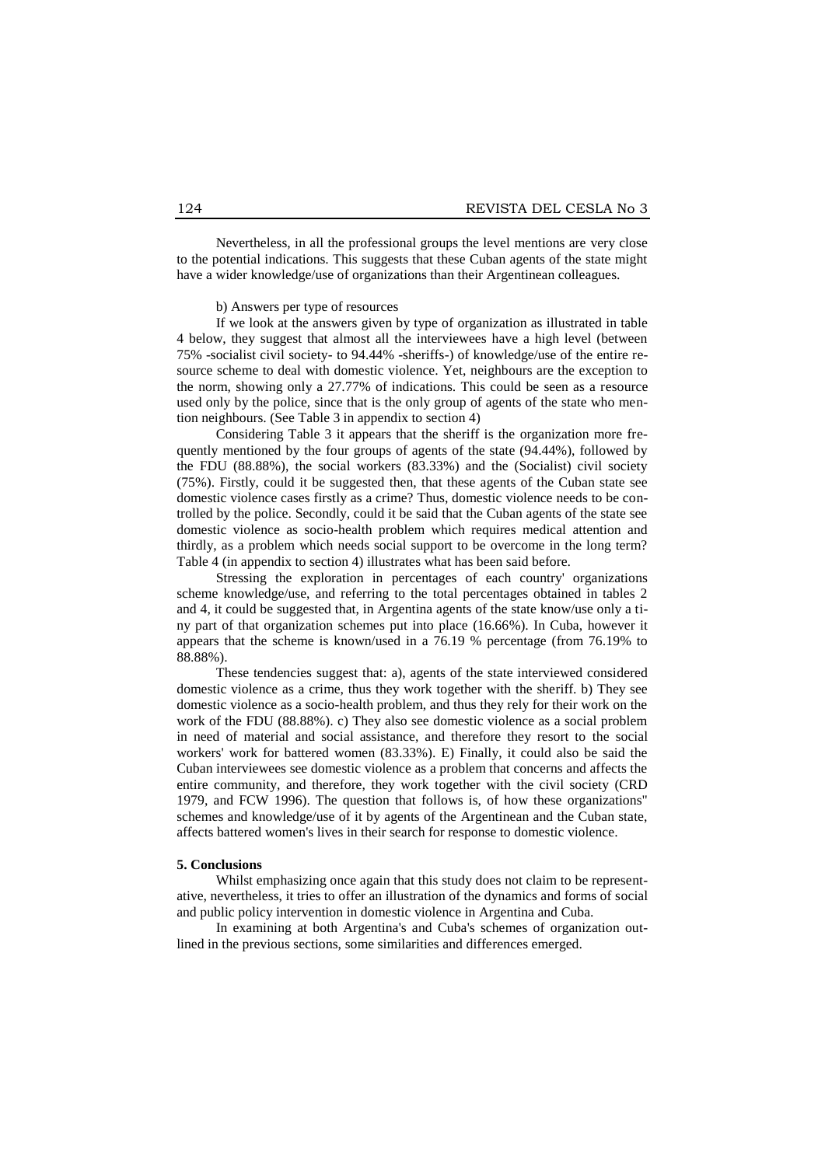Nevertheless, in all the professional groups the level mentions are very close to the potential indications. This suggests that these Cuban agents of the state might have a wider knowledge/use of organizations than their Argentinean colleagues.

#### b) Answers per type of resources

If we look at the answers given by type of organization as illustrated in table 4 below, they suggest that almost all the interviewees have a high level (between 75% -socialist civil society- to 94.44% -sheriffs-) of knowledge/use of the entire resource scheme to deal with domestic violence. Yet, neighbours are the exception to the norm, showing only a 27.77% of indications. This could be seen as a resource used only by the police, since that is the only group of agents of the state who mention neighbours. (See Table 3 in appendix to section 4)

Considering Table 3 it appears that the sheriff is the organization more frequently mentioned by the four groups of agents of the state (94.44%), followed by the FDU (88.88%), the social workers (83.33%) and the (Socialist) civil society (75%). Firstly, could it be suggested then, that these agents of the Cuban state see domestic violence cases firstly as a crime? Thus, domestic violence needs to be controlled by the police. Secondly, could it be said that the Cuban agents of the state see domestic violence as socio-health problem which requires medical attention and thirdly, as a problem which needs social support to be overcome in the long term? Table 4 (in appendix to section 4) illustrates what has been said before.

Stressing the exploration in percentages of each country' organizations scheme knowledge/use, and referring to the total percentages obtained in tables 2 and 4, it could be suggested that, in Argentina agents of the state know/use only a tiny part of that organization schemes put into place (16.66%). In Cuba, however it appears that the scheme is known/used in a 76.19 % percentage (from 76.19% to 88.88%).

These tendencies suggest that: a), agents of the state interviewed considered domestic violence as a crime, thus they work together with the sheriff. b) They see domestic violence as a socio-health problem, and thus they rely for their work on the work of the FDU (88.88%). c) They also see domestic violence as a social problem in need of material and social assistance, and therefore they resort to the social workers' work for battered women (83.33%). E) Finally, it could also be said the Cuban interviewees see domestic violence as a problem that concerns and affects the entire community, and therefore, they work together with the civil society (CRD 1979, and FCW 1996). The question that follows is, of how these organizations" schemes and knowledge/use of it by agents of the Argentinean and the Cuban state, affects battered women's lives in their search for response to domestic violence.

#### **5. Conclusions**

Whilst emphasizing once again that this study does not claim to be representative, nevertheless, it tries to offer an illustration of the dynamics and forms of social and public policy intervention in domestic violence in Argentina and Cuba.

In examining at both Argentina's and Cuba's schemes of organization outlined in the previous sections, some similarities and differences emerged.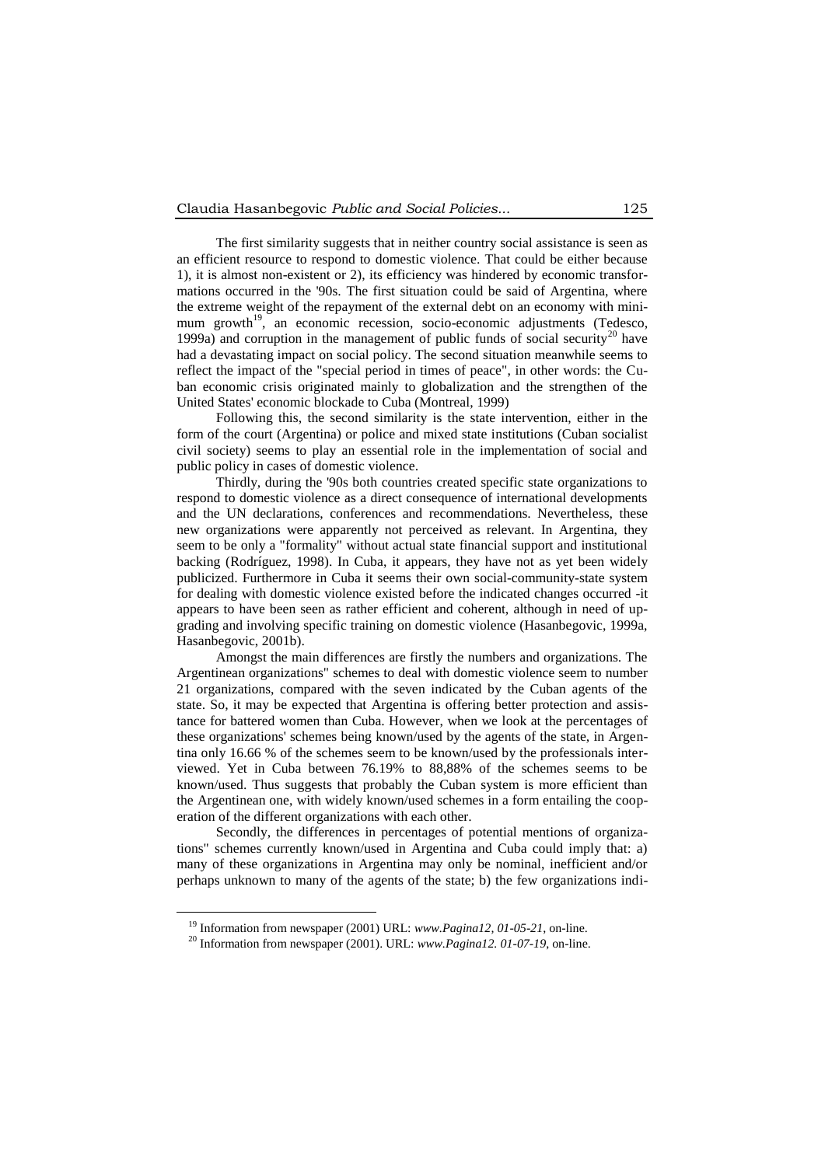The first similarity suggests that in neither country social assistance is seen as an efficient resource to respond to domestic violence. That could be either because 1), it is almost non-existent or 2), its efficiency was hindered by economic transformations occurred in the '90s. The first situation could be said of Argentina, where the extreme weight of the repayment of the external debt on an economy with minimum growth<sup>19</sup>, an economic recession, socio-economic adjustments (Tedesco, 1999a) and corruption in the management of public funds of social security<sup>20</sup> have had a devastating impact on social policy. The second situation meanwhile seems to reflect the impact of the "special period in times of peace", in other words: the Cuban economic crisis originated mainly to globalization and the strengthen of the United States' economic blockade to Cuba (Montreal, 1999)

Following this, the second similarity is the state intervention, either in the form of the court (Argentina) or police and mixed state institutions (Cuban socialist civil society) seems to play an essential role in the implementation of social and public policy in cases of domestic violence.

Thirdly, during the '90s both countries created specific state organizations to respond to domestic violence as a direct consequence of international developments and the UN declarations, conferences and recommendations. Nevertheless, these new organizations were apparently not perceived as relevant. In Argentina, they seem to be only a "formality" without actual state financial support and institutional backing (Rodríguez, 1998). In Cuba, it appears, they have not as yet been widely publicized. Furthermore in Cuba it seems their own social-community-state system for dealing with domestic violence existed before the indicated changes occurred -it appears to have been seen as rather efficient and coherent, although in need of upgrading and involving specific training on domestic violence (Hasanbegovic, 1999a, Hasanbegovic, 2001b).

Amongst the main differences are firstly the numbers and organizations. The Argentinean organizations" schemes to deal with domestic violence seem to number 21 organizations, compared with the seven indicated by the Cuban agents of the state. So, it may be expected that Argentina is offering better protection and assistance for battered women than Cuba. However, when we look at the percentages of these organizations' schemes being known/used by the agents of the state, in Argentina only 16.66 % of the schemes seem to be known/used by the professionals interviewed. Yet in Cuba between 76.19% to 88,88% of the schemes seems to be known/used. Thus suggests that probably the Cuban system is more efficient than the Argentinean one, with widely known/used schemes in a form entailing the cooperation of the different organizations with each other.

Secondly, the differences in percentages of potential mentions of organizations" schemes currently known/used in Argentina and Cuba could imply that: a) many of these organizations in Argentina may only be nominal, inefficient and/or perhaps unknown to many of the agents of the state; b) the few organizations indi-

1

<sup>19</sup> Information from newspaper (2001) URL: *[www.Pagina12,](http://www.pagina12/) 01-05-21*, on-line.

<sup>20</sup> Information from newspaper (2001). URL: *[www.Pagina12.](http://www.pagina12/) 01-07-19*, on-line.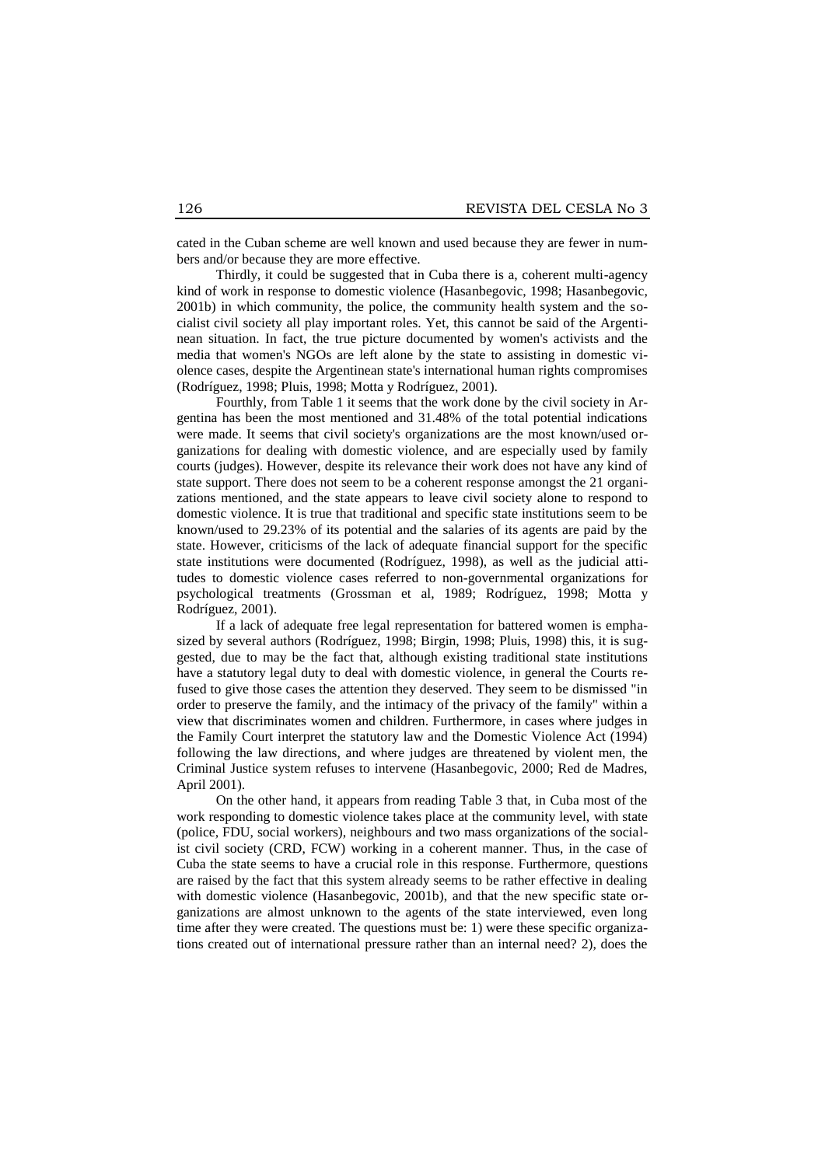cated in the Cuban scheme are well known and used because they are fewer in numbers and/or because they are more effective.

Thirdly, it could be suggested that in Cuba there is a, coherent multi-agency kind of work in response to domestic violence (Hasanbegovic, 1998; Hasanbegovic, 2001b) in which community, the police, the community health system and the socialist civil society all play important roles. Yet, this cannot be said of the Argentinean situation. In fact, the true picture documented by women's activists and the media that women's NGOs are left alone by the state to assisting in domestic violence cases, despite the Argentinean state's international human rights compromises (Rodríguez, 1998; Pluis, 1998; Motta y Rodríguez, 2001).

Fourthly, from Table 1 it seems that the work done by the civil society in Argentina has been the most mentioned and 31.48% of the total potential indications were made. It seems that civil society's organizations are the most known/used organizations for dealing with domestic violence, and are especially used by family courts (judges). However, despite its relevance their work does not have any kind of state support. There does not seem to be a coherent response amongst the 21 organizations mentioned, and the state appears to leave civil society alone to respond to domestic violence. It is true that traditional and specific state institutions seem to be known/used to 29.23% of its potential and the salaries of its agents are paid by the state. However, criticisms of the lack of adequate financial support for the specific state institutions were documented (Rodríguez, 1998), as well as the judicial attitudes to domestic violence cases referred to non-governmental organizations for psychological treatments (Grossman et al, 1989; Rodríguez, 1998; Motta y Rodríguez, 2001).

If a lack of adequate free legal representation for battered women is emphasized by several authors (Rodríguez, 1998; Birgin, 1998; Pluis, 1998) this, it is suggested, due to may be the fact that, although existing traditional state institutions have a statutory legal duty to deal with domestic violence, in general the Courts refused to give those cases the attention they deserved. They seem to be dismissed "in order to preserve the family, and the intimacy of the privacy of the family" within a view that discriminates women and children. Furthermore, in cases where judges in the Family Court interpret the statutory law and the Domestic Violence Act (1994) following the law directions, and where judges are threatened by violent men, the Criminal Justice system refuses to intervene (Hasanbegovic, 2000; Red de Madres, April 2001).

On the other hand, it appears from reading Table 3 that, in Cuba most of the work responding to domestic violence takes place at the community level, with state (police, FDU, social workers), neighbours and two mass organizations of the socialist civil society (CRD, FCW) working in a coherent manner. Thus, in the case of Cuba the state seems to have a crucial role in this response. Furthermore, questions are raised by the fact that this system already seems to be rather effective in dealing with domestic violence (Hasanbegovic, 2001b), and that the new specific state organizations are almost unknown to the agents of the state interviewed, even long time after they were created. The questions must be: 1) were these specific organizations created out of international pressure rather than an internal need? 2), does the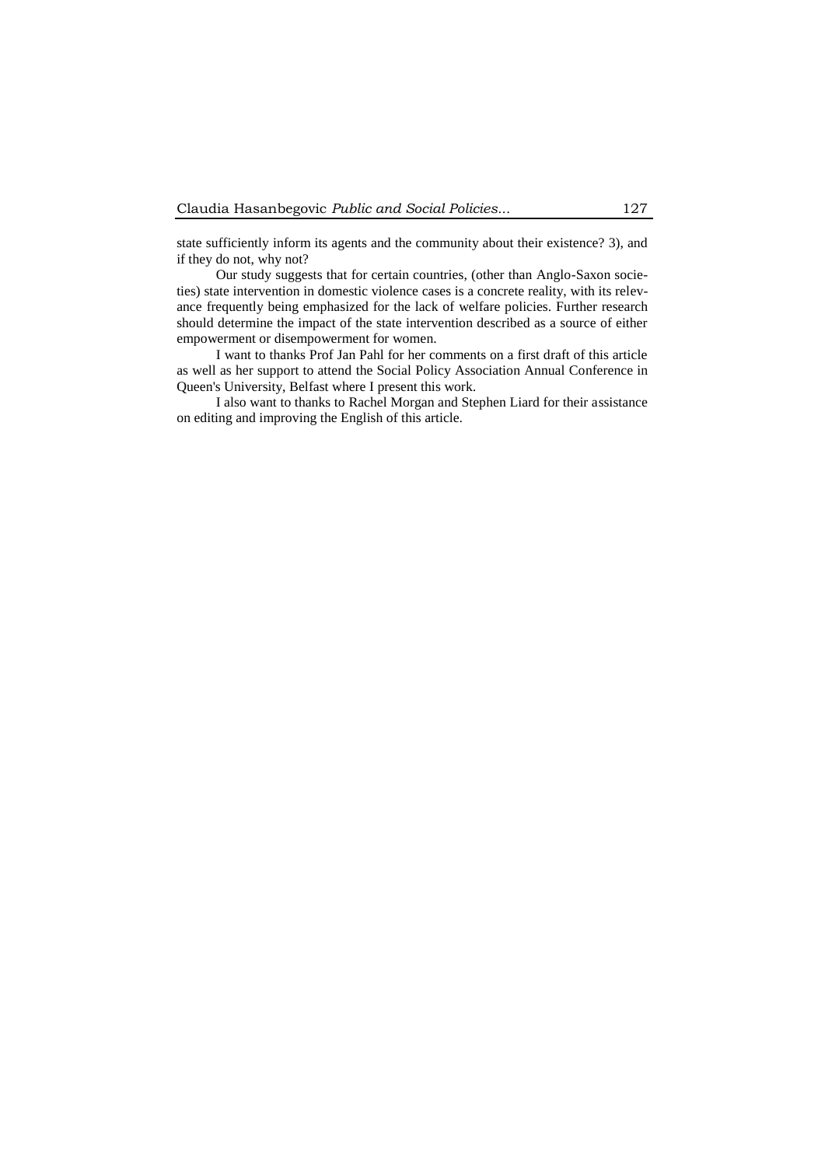state sufficiently inform its agents and the community about their existence? 3), and if they do not, why not?

Our study suggests that for certain countries, (other than Anglo-Saxon societies) state intervention in domestic violence cases is a concrete reality, with its relevance frequently being emphasized for the lack of welfare policies. Further research should determine the impact of the state intervention described as a source of either empowerment or disempowerment for women.

I want to thanks Prof Jan Pahl for her comments on a first draft of this article as well as her support to attend the Social Policy Association Annual Conference in Queen's University, Belfast where I present this work.

I also want to thanks to Rachel Morgan and Stephen Liard for their assistance on editing and improving the English of this article.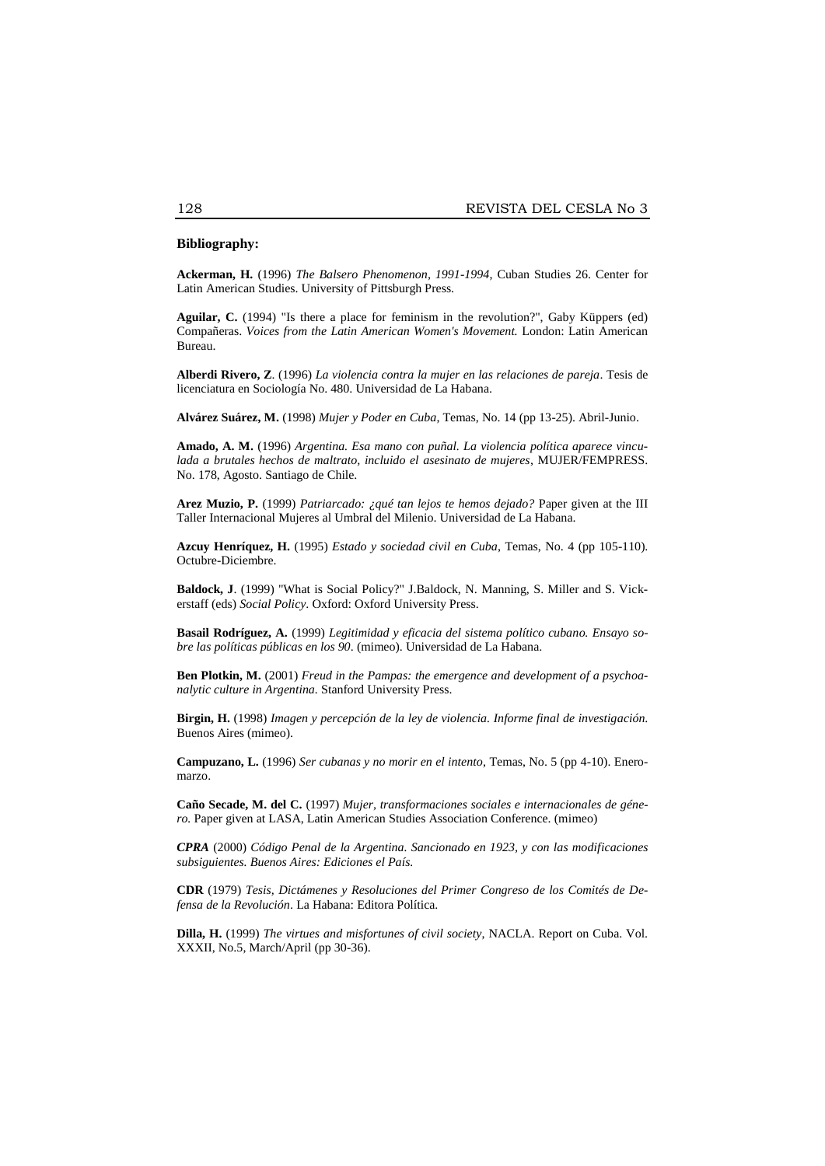# **Bibliography:**

**Ackerman, H.** (1996) *The Balsero Phenomenon, 1991-1994*, Cuban Studies 26. Center for Latin American Studies. University of Pittsburgh Press.

**Aguilar, C.** (1994) "Is there a place for feminism in the revolution?", Gaby Küppers (ed) Compañeras. *Voices from the Latin American Women's Movement.* London: Latin American Bureau.

**Alberdi Rivero, Z**. (1996) *La violencia contra la mujer en las relaciones de pareja*. Tesis de licenciatura en Sociología No. 480. Universidad de La Habana.

**Alvárez Suárez, M.** (1998) *Mujer y Poder en Cuba*, Temas, No. 14 (pp 13-25). Abril-Junio.

**Amado, A. M.** (1996) *Argentina. Esa mano con puñal. La violencia política aparece vinculada a brutales hechos de maltrato, incluido el asesinato de mujeres*, MUJER/FEMPRESS. No. 178, Agosto. Santiago de Chile.

**Arez Muzio, P.** (1999) *Patriarcado: ¿qué tan lejos te hemos dejado?* Paper given at the III Taller Internacional Mujeres al Umbral del Milenio. Universidad de La Habana.

**Azcuy Henríquez, H.** (1995) *Estado y sociedad civil en Cuba*, Temas, No. 4 (pp 105-110). Octubre-Diciembre.

**Baldock, J**. (1999) "What is Social Policy?" J.Baldock, N. Manning, S. Miller and S. Vickerstaff (eds) *Social Policy*. Oxford: Oxford University Press.

**Basail Rodríguez, A.** (1999) *Legitimidad y eficacia del sistema político cubano. Ensayo sobre las políticas públicas en los 90*. (mimeo). Universidad de La Habana.

**Ben Plotkin, M.** (2001) *Freud in the Pampas: the emergence and development of a psychoanalytic culture in Argentina.* Stanford University Press.

**Birgin, H.** (1998) *Imagen y percepción de la ley de violencia. Informe final de investigación*. Buenos Aires (mimeo).

**Campuzano, L.** (1996) *Ser cubanas y no morir en el intento*, Temas, No. 5 (pp 4-10). Eneromarzo.

**Caño Secade, M. del C.** (1997) *Mujer, transformaciones sociales e internacionales de género.* Paper given at LASA, Latin American Studies Association Conference. (mimeo)

*CPRA* (2000) *Código Penal de la Argentina. Sancionado en 1923, y con las modificaciones subsiguientes. Buenos Aires: Ediciones el País.*

**CDR** (1979) *Tesis, Dictámenes y Resoluciones del Primer Congreso de los Comités de Defensa de la Revolución*. La Habana: Editora Política.

**Dilla, H.** (1999) *The virtues and misfortunes of civil society*, NACLA. Report on Cuba. Vol. XXXII, No.5, March/April (pp 30-36).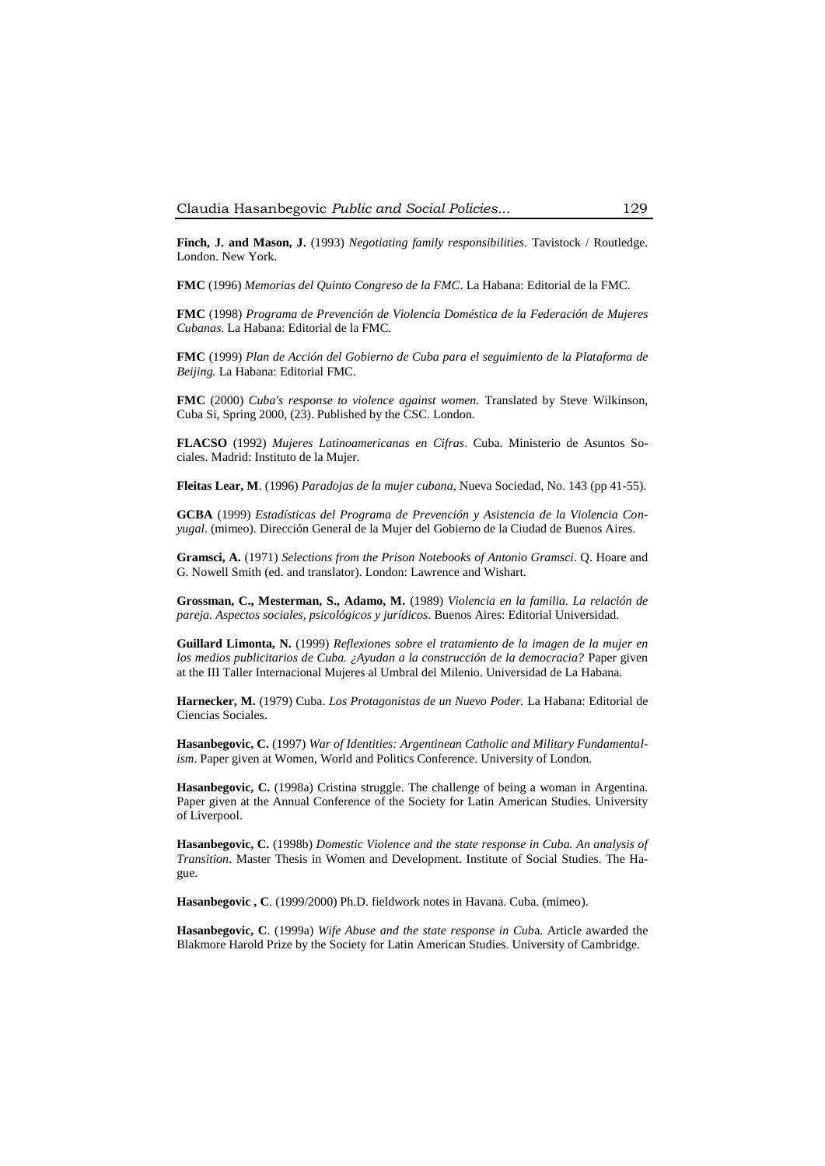**Finch, J. and Mason, J.** (1993) *Negotiating family responsibilities*. Tavistock / Routledge. London. New York.

**FMC** (1996) *Memorias del Quinto Congreso de la FMC*. La Habana: Editorial de la FMC.

**FMC** (1998) *Programa de Prevención de Violencia Doméstica de la Federación de Mujeres Cubanas*. La Habana: Editorial de la FMC.

**FMC** (1999) *Plan de Acción del Gobierno de Cuba para el seguimiento de la Plataforma de Beijing.* La Habana: Editorial FMC.

**FMC** (2000) *Cuba's response to violence against women.* Translated by Steve Wilkinson, Cuba Si, Spring 2000, (23). Published by the CSC. London.

**FLACSO** (1992) *Mujeres Latinoamericanas en Cifras*. Cuba. Ministerio de Asuntos Sociales. Madrid: Instituto de la Mujer.

**Fleitas Lear, M**. (1996) *Paradojas de la mujer cubana*, Nueva Sociedad, No. 143 (pp 41-55).

**GCBA** (1999) *Estadísticas del Programa de Prevención y Asistencia de la Violencia Conyugal*. (mimeo). Dirección General de la Mujer del Gobierno de la Ciudad de Buenos Aires.

**Gramsci, A.** (1971) *Selections from the Prison Notebooks of Antonio Gramsci*. Q. Hoare and G. Nowell Smith (ed. and translator). London: Lawrence and Wishart.

**Grossman, C., Mesterman, S., Adamo, M.** (1989) *Violencia en la familia. La relación de pareja. Aspectos sociales, psicológicos y jurídicos*. Buenos Aires: Editorial Universidad.

**Guillard Limonta, N.** (1999) *Reflexiones sobre el tratamiento de la imagen de la mujer en los medios publicitarios de Cuba. ¿Ayudan a la construcción de la democracia?* Paper given at the III Taller Internacional Mujeres al Umbral del Milenio. Universidad de La Habana.

**Harnecker, M.** (1979) Cuba. *Los Protagonistas de un Nuevo Poder.* La Habana: Editorial de Ciencias Sociales.

**Hasanbegovic, C.** (1997) *War of Identities: Argentinean Catholic and Military Fundamentalism*. Paper given at Women, World and Politics Conference. University of London.

**Hasanbegovic, C.** (1998a) Cristina struggle. The challenge of being a woman in Argentina. Paper given at the Annual Conference of the Society for Latin American Studies. University of Liverpool.

**Hasanbegovic, C.** (1998b) *Domestic Violence and the state response in Cuba. An analysis of Transition*. Master Thesis in Women and Development. Institute of Social Studies. The Hague.

**Hasanbegovic , C**. (1999/2000) Ph.D. fieldwork notes in Havana. Cuba. (mimeo).

**Hasanbegovic, C**. (1999a) *Wife Abuse and the state response in Cub*a. Article awarded the Blakmore Harold Prize by the Society for Latin American Studies. University of Cambridge.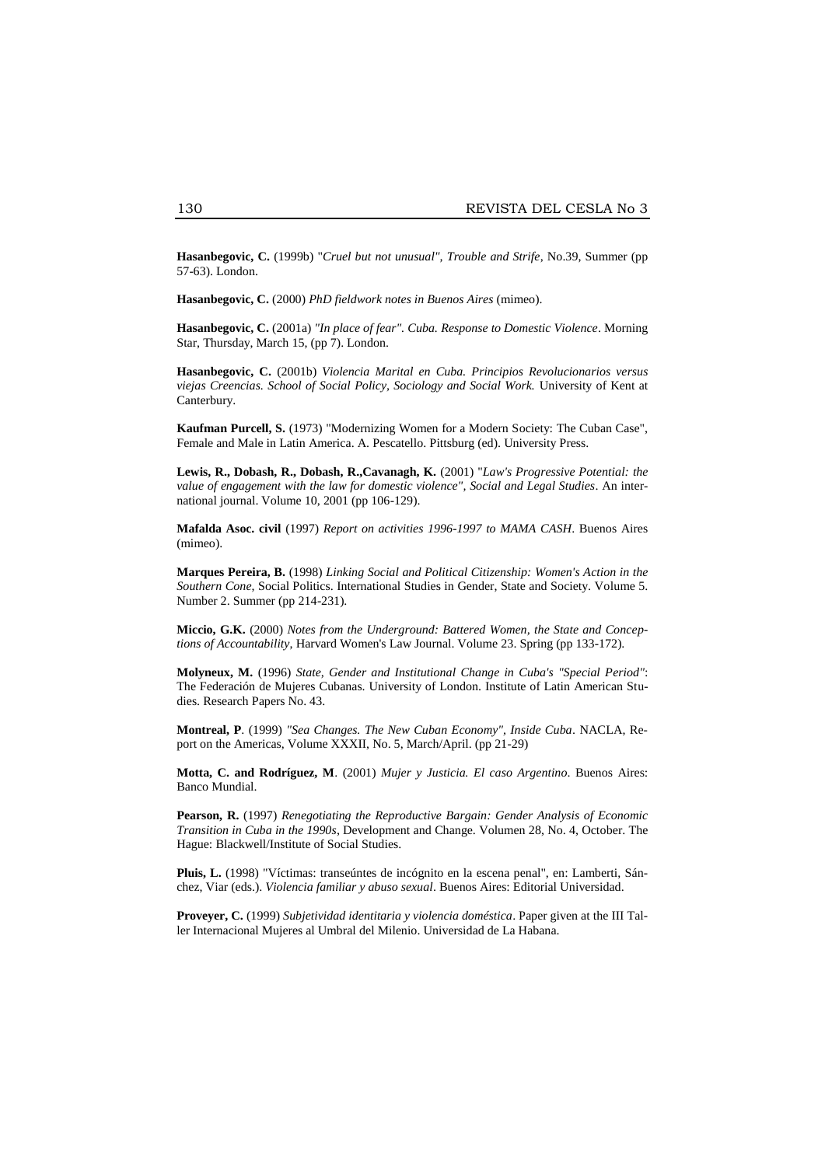**Hasanbegovic, C.** (1999b) "*Cruel but not unusual", Trouble and Strife*, No.39, Summer (pp 57-63). London.

**Hasanbegovic, C.** (2000) *PhD fieldwork notes in Buenos Aires* (mimeo).

**Hasanbegovic, C.** (2001a) *"In place of fear". Cuba. Response to Domestic Violence*. Morning Star, Thursday, March 15, (pp 7). London.

**Hasanbegovic, C.** (2001b) *Violencia Marital en Cuba. Principios Revolucionarios versus viejas Creencias. School of Social Policy, Sociology and Social Work.* University of Kent at Canterbury.

**Kaufman Purcell, S.** (1973) "Modernizing Women for a Modern Society: The Cuban Case", Female and Male in Latin America. A. Pescatello. Pittsburg (ed). University Press.

**Lewis, R., Dobash, R., Dobash, R.,Cavanagh, K.** (2001) "*Law's Progressive Potential: the value of engagement with the law for domestic violence", Social and Legal Studies*. An international journal. Volume 10, 2001 (pp 106-129).

**Mafalda Asoc. civil** (1997) *Report on activities 1996-1997 to MAMA CASH*. Buenos Aires (mimeo).

**Marques Pereira, B.** (1998) *Linking Social and Political Citizenship: Women's Action in the Southern Cone*, Social Politics. International Studies in Gender, State and Society. Volume 5. Number 2. Summer (pp 214-231).

**Miccio, G.K.** (2000) *Notes from the Underground: Battered Women, the State and Conceptions of Accountability*, Harvard Women's Law Journal. Volume 23. Spring (pp 133-172).

**Molyneux, M.** (1996) *State, Gender and Institutional Change in Cuba's "Special Period"*: The Federación de Mujeres Cubanas. University of London. Institute of Latin American Studies. Research Papers No. 43.

**Montreal, P**. (1999) *"Sea Changes. The New Cuban Economy", Inside Cuba*. NACLA, Report on the Americas, Volume XXXII, No. 5, March/April. (pp 21-29)

**Motta, C. and Rodríguez, M**. (2001) *Mujer y Justicia. El caso Argentino*. Buenos Aires: Banco Mundial.

**Pearson, R.** (1997) *Renegotiating the Reproductive Bargain: Gender Analysis of Economic Transition in Cuba in the 1990s*, Development and Change. Volumen 28, No. 4, October. The Hague: Blackwell/Institute of Social Studies.

**Pluis, L.** (1998) "Víctimas: transeúntes de incógnito en la escena penal", en: Lamberti, Sánchez, Viar (eds.). *Violencia familiar y abuso sexual*. Buenos Aires: Editorial Universidad.

**Proveyer, C.** (1999) *Subjetividad identitaria y violencia doméstica*. Paper given at the III Taller Internacional Mujeres al Umbral del Milenio. Universidad de La Habana.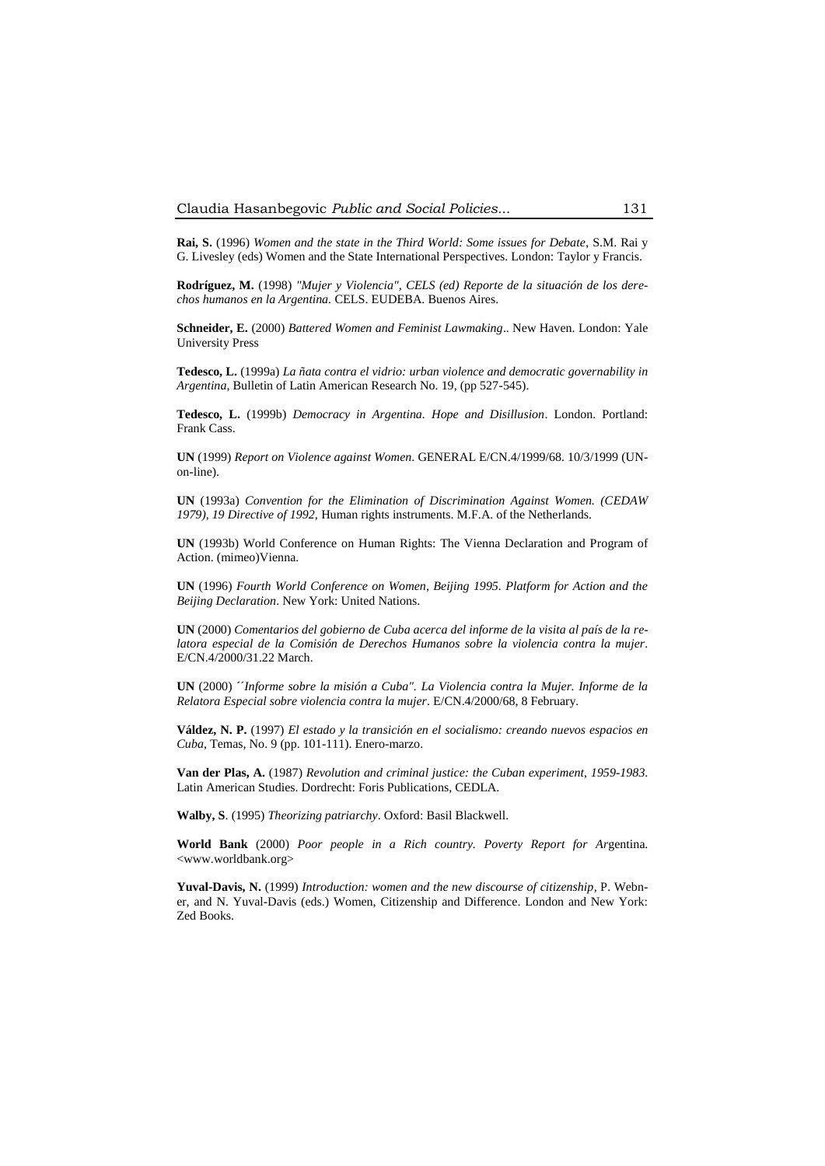**Rai, S.** (1996) *Women and the state in the Third World: Some issues for Debate*, S.M. Rai y G. Livesley (eds) Women and the State International Perspectives. London: Taylor y Francis.

**Rodríguez, M.** (1998) *"Mujer y Violencia", CELS (ed) Reporte de la situación de los derechos humanos en la Argentina.* CELS. EUDEBA. Buenos Aires.

**Schneider, E.** (2000) *Battered Women and Feminist Lawmaking*.. New Haven. London: Yale University Press

**Tedesco, L.** (1999a) *La ñata contra el vidrio: urban violence and democratic governability in Argentina*, Bulletin of Latin American Research No. 19, (pp 527-545).

**Tedesco, L.** (1999b) *Democracy in Argentina. Hope and Disillusion*. London. Portland: Frank Cass.

**UN** (1999) *Report on Violence against Women*. GENERAL E/CN.4/1999/68. 10/3/1999 (UNon-line).

**UN** (1993a) *Convention for the Elimination of Discrimination Against Women. (CEDAW 1979), 19 Directive of 1992,* Human rights instruments. M.F.A. of the Netherlands.

**UN** (1993b) World Conference on Human Rights: The Vienna Declaration and Program of Action. (mimeo)Vienna.

**UN** (1996) *Fourth World Conference on Women, Beijing 1995. Platform for Action and the Beijing Declaration*. New York: United Nations.

**UN** (2000) *Comentarios del gobierno de Cuba acerca del informe de la visita al país de la relatora especial de la Comisión de Derechos Humanos sobre la violencia contra la mujer*. E/CN.4/2000/31.22 March.

**UN** (2000) ´´*Informe sobre la misión a Cuba". La Violencia contra la Mujer. Informe de la Relatora Especial sobre violencia contra la mujer*. E/CN.4/2000/68, 8 February.

**Váldez, N. P.** (1997) *El estado y la transición en el socialismo: creando nuevos espacios en Cuba*, Temas, No. 9 (pp. 101-111). Enero-marzo.

**Van der Plas, A.** (1987) *Revolution and criminal justice: the Cuban experiment, 1959-1983*. Latin American Studies. Dordrecht: Foris Publications, CEDLA.

**Walby, S**. (1995) *Theorizing patriarchy*. Oxford: Basil Blackwell.

**World Bank** (2000) *Poor people in a Rich country. Poverty Report for Ar*gentina. <www.worldbank.org>

**Yuval-Davis, N.** (1999) *Introduction: women and the new discourse of citizenship,* P. Webner, and N. Yuval-Davis (eds.) Women, Citizenship and Difference. London and New York: Zed Books.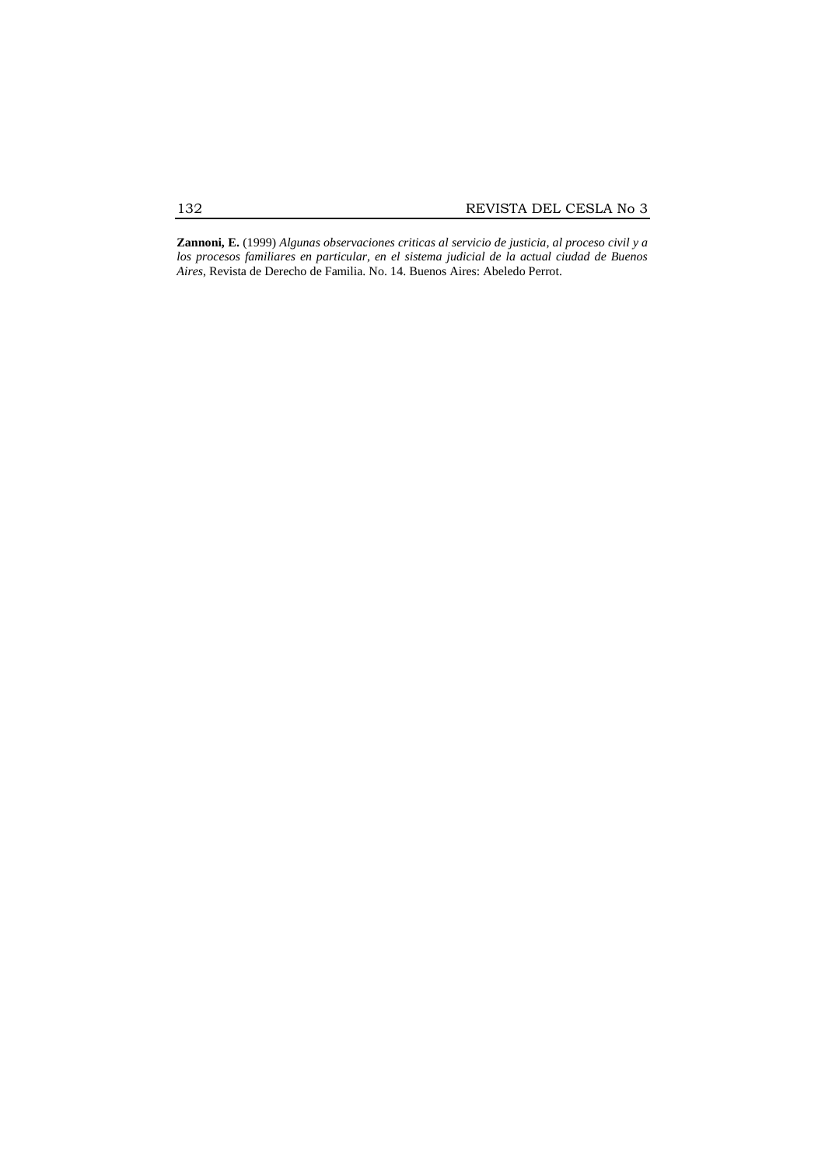**Zannoni, E.** (1999) *Algunas observaciones criticas al servicio de justicia, al proceso civil y a los procesos familiares en particular, en el sistema judicial de la actual ciudad de Buenos Aires*, Revista de Derecho de Familia. No. 14. Buenos Aires: Abeledo Perrot.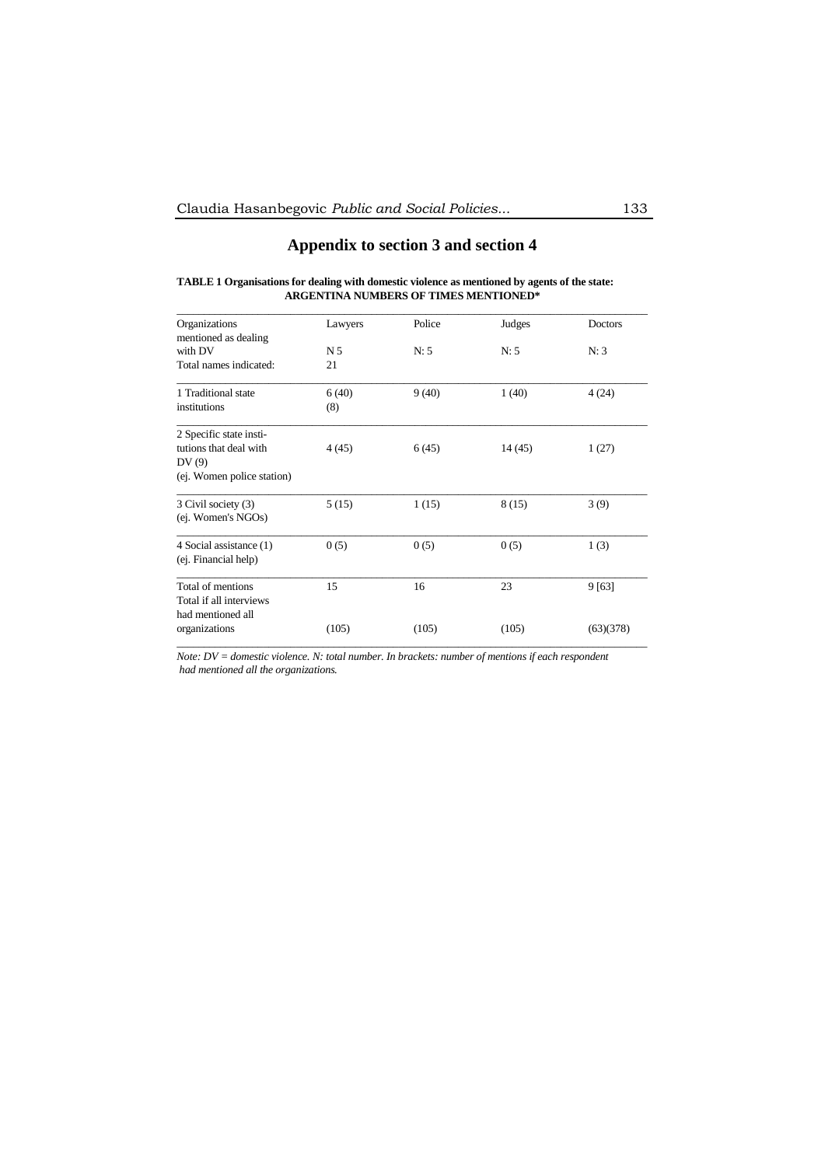# **Appendix to section 3 and section 4**

# **TABLE 1 Organisations for dealing with domestic violence as mentioned by agents of the state: ARGENTINA NUMBERS OF TIMES MENTIONED\***

| Organizations              | Lawyers        | Police | Judges | Doctors   |
|----------------------------|----------------|--------|--------|-----------|
| mentioned as dealing       |                |        |        |           |
| with DV                    | N <sub>5</sub> | N: 5   | N: 5   | N:3       |
| Total names indicated:     | 21             |        |        |           |
| 1 Traditional state        | 6(40)          | 9(40)  | 1(40)  | 4(24)     |
| institutions               | (8)            |        |        |           |
| 2 Specific state insti-    |                |        |        |           |
| tutions that deal with     | 4(45)          | 6(45)  | 14(45) | 1(27)     |
| DV(9)                      |                |        |        |           |
| (ej. Women police station) |                |        |        |           |
| 3 Civil society (3)        | 5(15)          | 1(15)  | 8(15)  | 3(9)      |
| (ej. Women's NGOs)         |                |        |        |           |
| 4 Social assistance (1)    | 0(5)           | 0(5)   | 0(5)   | 1(3)      |
| (ej. Financial help)       |                |        |        |           |
| Total of mentions          | 15             | 16     | 23     | 9 [63]    |
| Total if all interviews    |                |        |        |           |
| had mentioned all          |                |        |        |           |
| organizations              | (105)          | (105)  | (105)  | (63)(378) |

*Note: DV = domestic violence. N: total number. In brackets: number of mentions if each respondent had mentioned all the organizations.*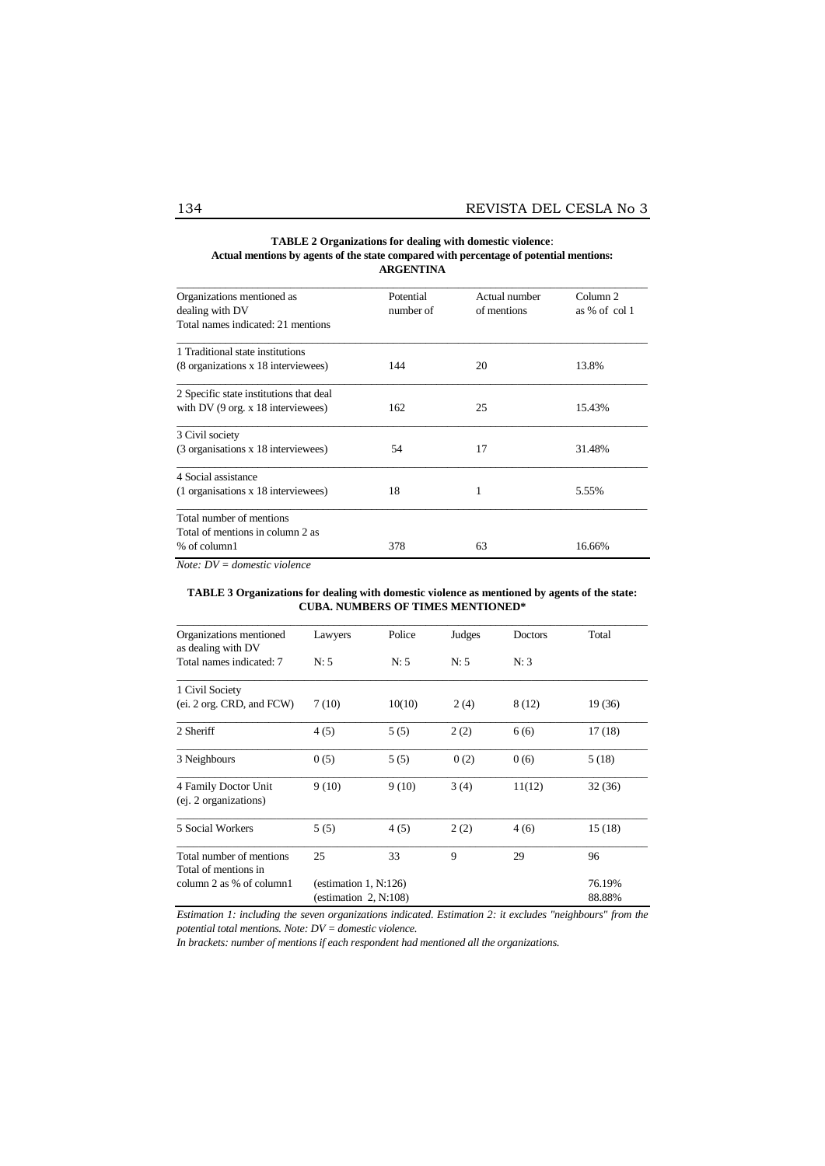## **TABLE 2 Organizations for dealing with domestic violence**: **Actual mentions by agents of the state compared with percentage of potential mentions: ARGENTINA**

| Organizations mentioned as<br>dealing with DV<br>Total names indicated: 21 mentions            | Potential<br>number of | Actual number<br>of mentions | Column <sub>2</sub><br>as $%$ of col 1 |
|------------------------------------------------------------------------------------------------|------------------------|------------------------------|----------------------------------------|
| 1 Traditional state institutions<br>(8 organizations x 18 interviewees)                        | 144                    | 20                           | 13.8%                                  |
| 2 Specific state institutions that deal<br>with DV $(9 \text{ org. x } 18 \text{ interviews})$ | 162                    | 25                           | 15.43%                                 |
| 3 Civil society<br>(3 organisations x 18 interviewees)                                         | 54                     | 17                           | 31.48%                                 |
| 4 Social assistance<br>(1 organisations x 18 interviewees)                                     | 18                     |                              | 5.55%                                  |
| Total number of mentions<br>Total of mentions in column 2 as<br>% of column1                   | 378                    | 63                           | 16.66%                                 |

*Note: DV = domestic violence*

#### **TABLE 3 Organizations for dealing with domestic violence as mentioned by agents of the state: CUBA. NUMBERS OF TIMES MENTIONED\***

| Organizations mentioned                          | Lawyers                  | Police | Judges | Doctors | Total   |
|--------------------------------------------------|--------------------------|--------|--------|---------|---------|
| as dealing with DV                               |                          |        |        |         |         |
| Total names indicated: 7                         | N: 5                     | N: 5   | N: 5   | N:3     |         |
| 1 Civil Society                                  |                          |        |        |         |         |
| (ei. 2 org. CRD, and FCW)                        | 7(10)                    | 10(10) | 2(4)   | 8 (12)  | 19 (36) |
| 2 Sheriff                                        | 4(5)                     | 5(5)   | 2(2)   | 6(6)    | 17(18)  |
| 3 Neighbours                                     | 0(5)                     | 5(5)   | 0(2)   | 0(6)    | 5(18)   |
| 4 Family Doctor Unit<br>(ej. 2 organizations)    | 9(10)                    | 9(10)  | 3(4)   | 11(12)  | 32(36)  |
| 5 Social Workers                                 | 5(5)                     | 4(5)   | 2(2)   | 4(6)    | 15(18)  |
| Total number of mentions<br>Total of mentions in | 25                       | 33     | 9      | 29      | 96      |
| column 2 as % of column1                         | (estimation $1, N:126$ ) |        |        |         | 76.19%  |
|                                                  | (estimation $2$ , N:108) |        |        |         | 88.88%  |

*Estimation 1: including the seven organizations indicated. Estimation 2: it excludes "neighbours" from the potential total mentions. Note: DV = domestic violence.*

*In brackets: number of mentions if each respondent had mentioned all the organizations*.